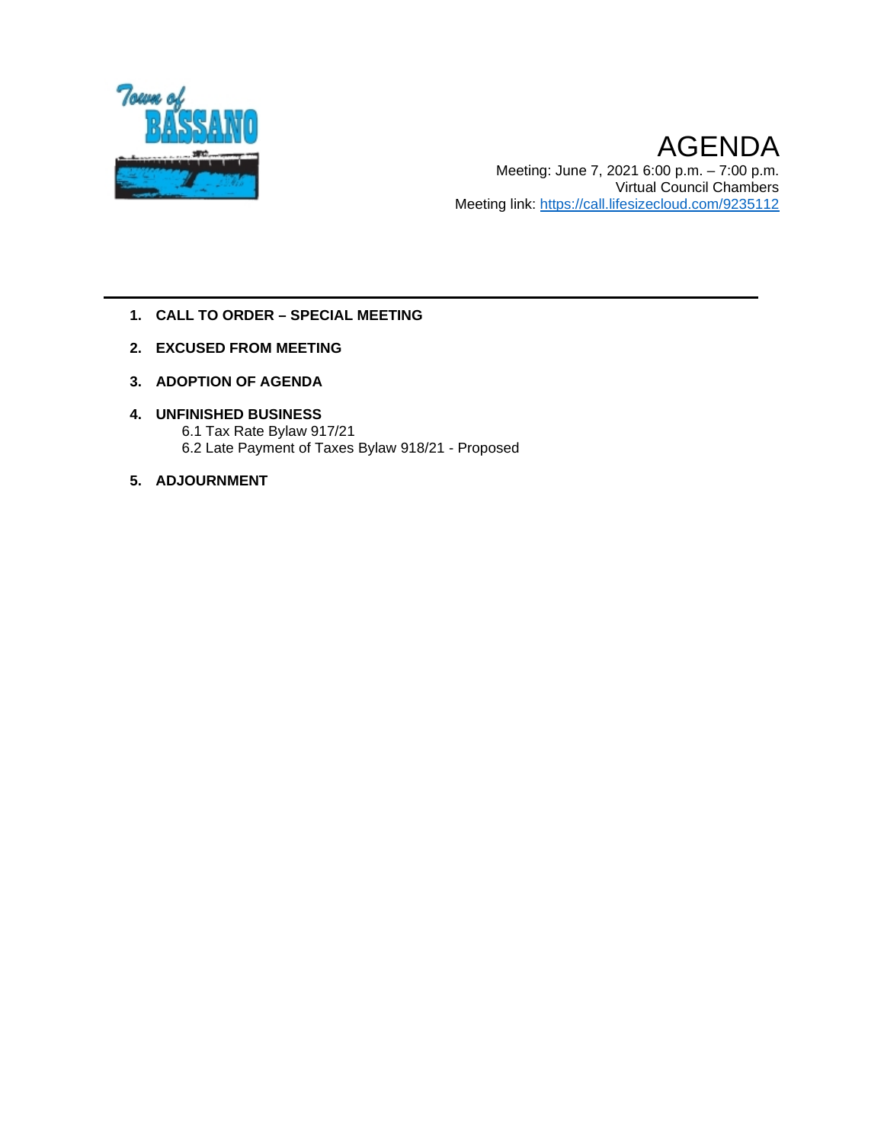

AGENDA Meeting: June 7, 2021 6:00 p.m. – 7:00 p.m. Virtual Council Chambers Meeting link: <https://call.lifesizecloud.com/9235112>

- **1. CALL TO ORDER – SPECIAL MEETING**
- **2. EXCUSED FROM MEETING**
- **3. ADOPTION OF AGENDA**
- **4. UNFINISHED BUSINESS** 6.1 Tax Rate Bylaw 917/21 6.2 Late Payment of Taxes Bylaw 918/21 - Proposed
- **5. ADJOURNMENT**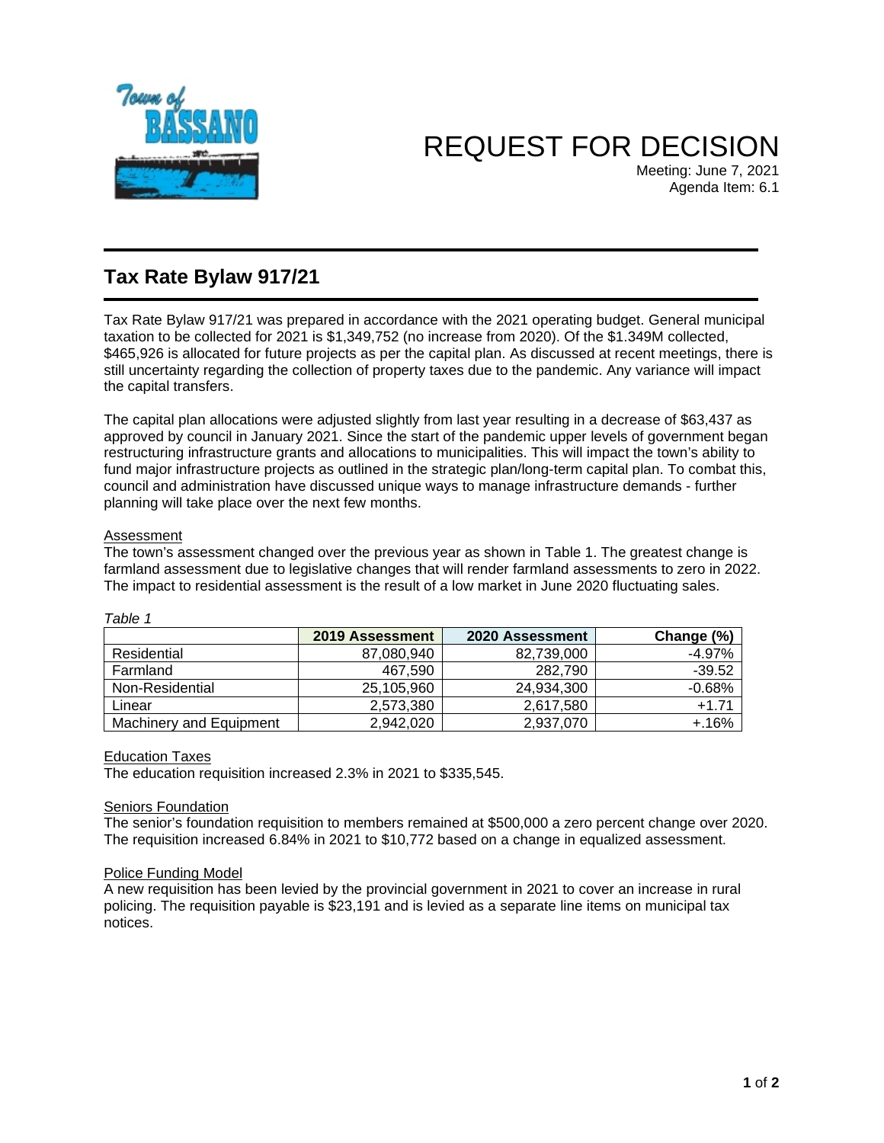

# REQUEST FOR DECISION

Meeting: June 7, 2021 Agenda Item: 6.1

### **Tax Rate Bylaw 917/21**

Tax Rate Bylaw 917/21 was prepared in accordance with the 2021 operating budget. General municipal taxation to be collected for 2021 is \$1,349,752 (no increase from 2020). Of the \$1.349M collected, \$465,926 is allocated for future projects as per the capital plan. As discussed at recent meetings, there is still uncertainty regarding the collection of property taxes due to the pandemic. Any variance will impact the capital transfers.

The capital plan allocations were adjusted slightly from last year resulting in a decrease of \$63,437 as approved by council in January 2021. Since the start of the pandemic upper levels of government began restructuring infrastructure grants and allocations to municipalities. This will impact the town's ability to fund major infrastructure projects as outlined in the strategic plan/long-term capital plan. To combat this, council and administration have discussed unique ways to manage infrastructure demands - further planning will take place over the next few months.

### Assessment

The town's assessment changed over the previous year as shown in Table 1. The greatest change is farmland assessment due to legislative changes that will render farmland assessments to zero in 2022. The impact to residential assessment is the result of a low market in June 2020 fluctuating sales.

| , uviv                  |                 |                 |            |  |  |  |
|-------------------------|-----------------|-----------------|------------|--|--|--|
|                         | 2019 Assessment | 2020 Assessment | Change (%) |  |  |  |
| Residential             | 87,080,940      | 82,739,000      | $-4.97%$   |  |  |  |
| Farmland                | 467.590         | 282.790         | $-39.52$   |  |  |  |
| Non-Residential         | 25,105,960      | 24,934,300      | $-0.68%$   |  |  |  |
| Linear                  | 2,573,380       | 2,617,580       | $+1.71$    |  |  |  |
| Machinery and Equipment | 2.942.020       | 2,937,070       | $+.16%$    |  |  |  |

### *Table 1*

#### Education Taxes

The education requisition increased 2.3% in 2021 to \$335,545.

#### **Seniors Foundation**

The senior's foundation requisition to members remained at \$500,000 a zero percent change over 2020. The requisition increased 6.84% in 2021 to \$10,772 based on a change in equalized assessment.

#### Police Funding Model

A new requisition has been levied by the provincial government in 2021 to cover an increase in rural policing. The requisition payable is \$23,191 and is levied as a separate line items on municipal tax notices.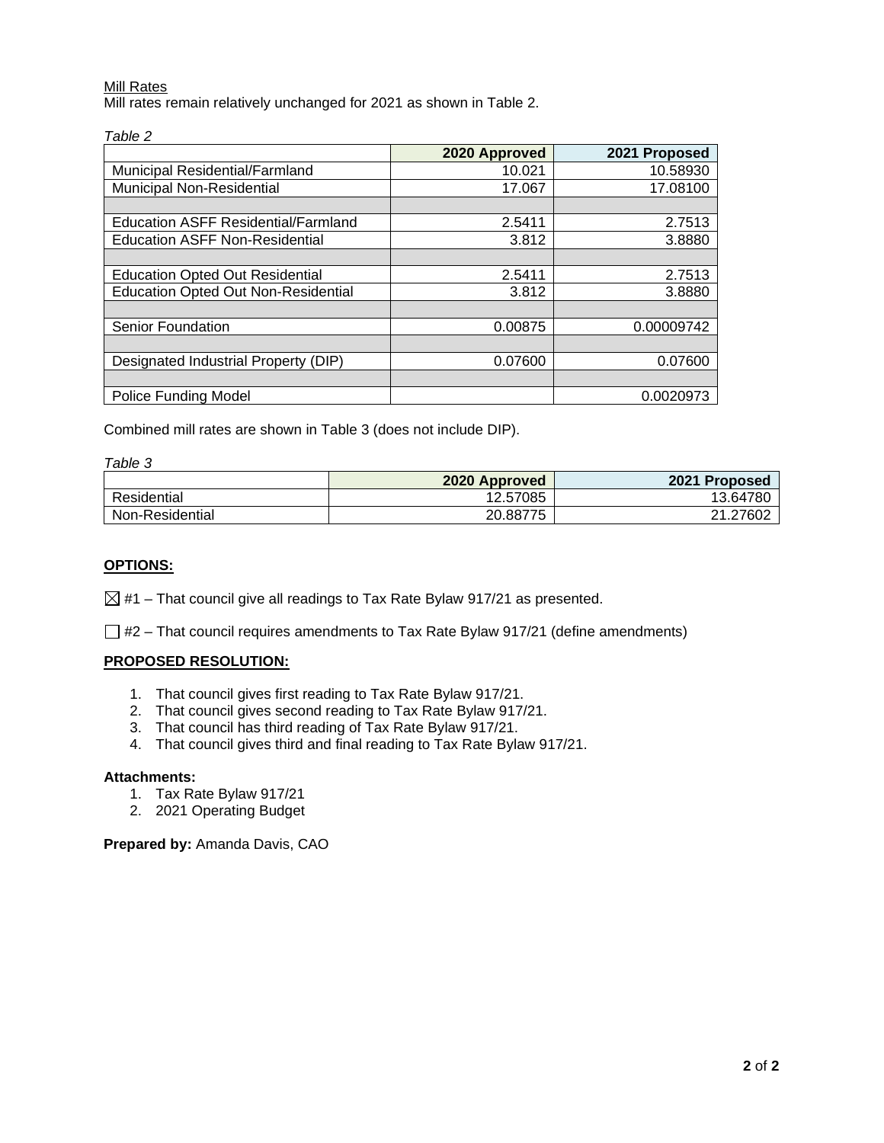#### Mill Rates

Mill rates remain relatively unchanged for 2021 as shown in Table 2.

|                                            | 2020 Approved | 2021 Proposed |
|--------------------------------------------|---------------|---------------|
| Municipal Residential/Farmland             | 10.021        | 10.58930      |
| Municipal Non-Residential                  | 17.067        | 17.08100      |
|                                            |               |               |
| Education ASFF Residential/Farmland        | 2.5411        | 2.7513        |
| <b>Education ASFF Non-Residential</b>      | 3.812         | 3.8880        |
|                                            |               |               |
| <b>Education Opted Out Residential</b>     | 2.5411        | 2.7513        |
| <b>Education Opted Out Non-Residential</b> | 3.812         | 3.8880        |
|                                            |               |               |
| <b>Senior Foundation</b>                   | 0.00875       | 0.00009742    |
|                                            |               |               |
| Designated Industrial Property (DIP)       | 0.07600       | 0.07600       |
|                                            |               |               |
| <b>Police Funding Model</b>                |               | 0.0020973     |

Combined mill rates are shown in Table 3 (does not include DIP).

#### *Table 3*

|                 | 2020 Approved | 2021 Proposed |
|-----------------|---------------|---------------|
| Residential     | 12.57085      | 13.64780      |
| Non-Residential | 20.88775      | 21.27602      |

#### **OPTIONS:**

 $\boxtimes$  #1 – That council give all readings to Tax Rate Bylaw 917/21 as presented.

 $\Box$  #2 – That council requires amendments to Tax Rate Bylaw 917/21 (define amendments)

#### **PROPOSED RESOLUTION:**

- 1. That council gives first reading to Tax Rate Bylaw 917/21.
- 2. That council gives second reading to Tax Rate Bylaw 917/21.
- 3. That council has third reading of Tax Rate Bylaw 917/21.
- 4. That council gives third and final reading to Tax Rate Bylaw 917/21.

### **Attachments:**

- 1. Tax Rate Bylaw 917/21
- 2. 2021 Operating Budget

**Prepared by:** Amanda Davis, CAO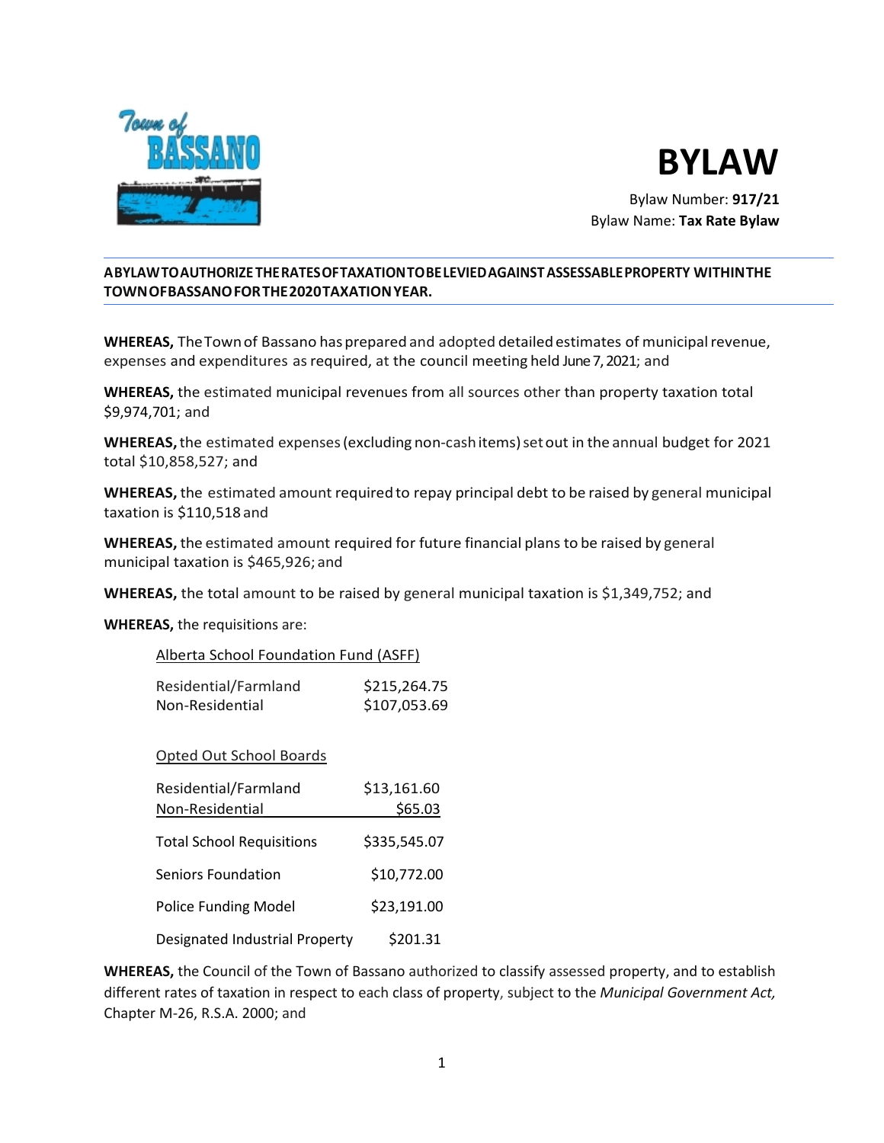



Bylaw Number: **917/21**  Bylaw Name: **Tax Rate Bylaw**

### **A BYLAWTOAUTHORIZETHERATES OF TAXATIONTOBELEVIEDAGAINSTASSESSABLEPROPERTY WITHINTHE TOWNOFBASSANOFORTHE2020TAXATIONYEAR.**

**WHEREAS,** TheTownof Bassano hasprepared and adopted detailed estimates of municipalrevenue, expenses and expenditures asrequired, at the council meeting held June 7, 2021; and

**WHEREAS,** the estimated municipal revenues from all sources other than property taxation total \$9,974,701; and

**WHEREAS,**the estimated expenses(excluding non-cashitems)setout in the annual budget for 2021 total \$10,858,527; and

**WHEREAS,** the estimated amount required to repay principal debt to be raised by general municipal taxation is \$110,518 and

**WHEREAS,** the estimated amount required for future financial plans to be raised by general municipal taxation is \$465,926; and

**WHEREAS,** the total amount to be raised by general municipal taxation is \$1,349,752; and

**WHEREAS,** the requisitions are:

| Alberta School Foundation Fund (ASFF) |              |
|---------------------------------------|--------------|
| Residential/Farmland                  | \$215,264.75 |

Non-Residential \$107,053.69

Opted Out School Boards

| Residential/Farmland             | \$13,161.60  |
|----------------------------------|--------------|
| Non-Residential                  | \$65.03      |
| <b>Total School Requisitions</b> | \$335,545.07 |
| Seniors Foundation               | \$10,772.00  |
| <b>Police Funding Model</b>      | \$23,191.00  |
| Designated Industrial Property   | \$201.31     |

**WHEREAS,** the Council of the Town of Bassano authorized to classify assessed property, and to establish different rates of taxation in respect to each class of property, subject to the *Municipal Government Act,*  Chapter M-26, R.S.A. 2000; and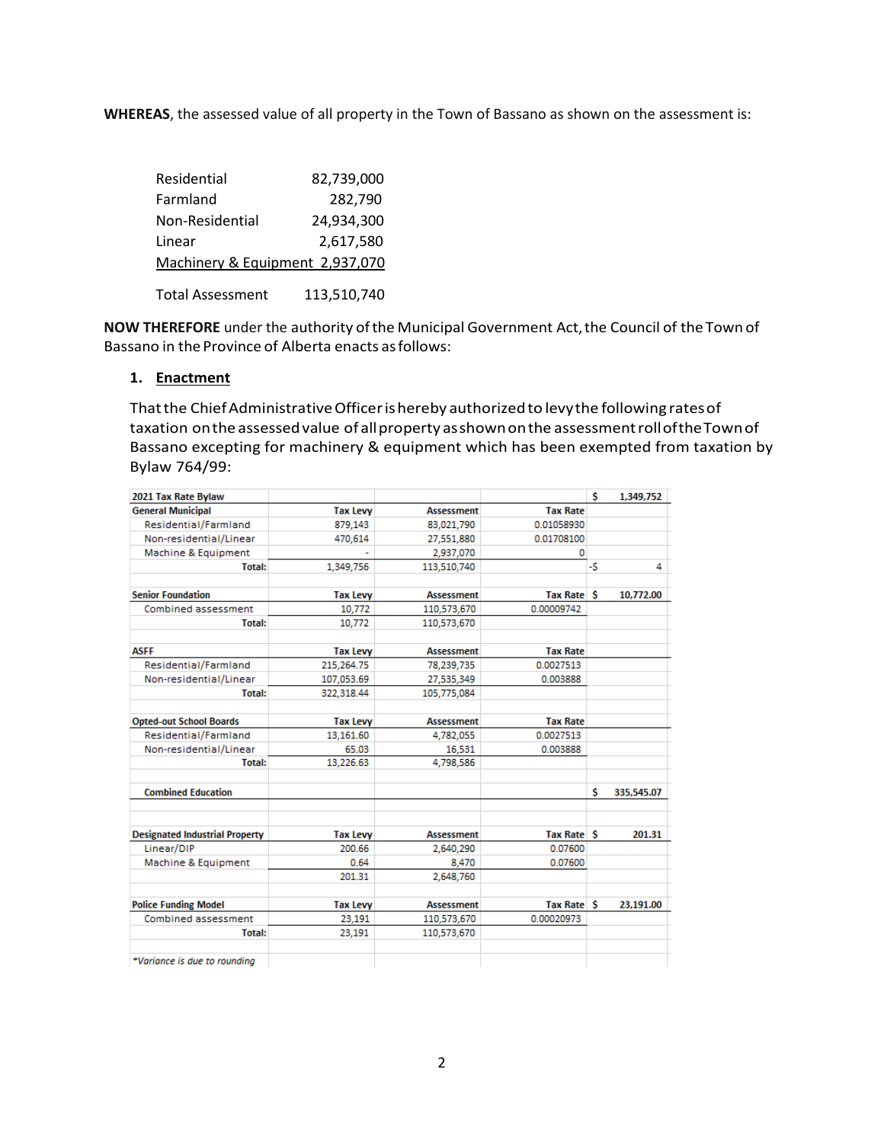**WHEREAS**, the assessed value of all property in the Town of Bassano as shown on the assessment is:

| Residential                     | 82,739,000 |
|---------------------------------|------------|
| Farmland                        | 282,790    |
| Non-Residential                 | 24,934,300 |
| Linear                          | 2,617,580  |
| Machinery & Equipment 2,937,070 |            |
|                                 |            |

Total Assessment 113,510,740

NOW THEREFORE under the authority of the Municipal Government Act, the Council of the Town of Bassano in the Province of Alberta enacts as follows:

### **1. Enactment**

Thatthe ChiefAdministrativeOfficerishereby authorizedto levythe following ratesof taxation on the assessed value of all property as shown on the assessment roll of the Town of Bassano excepting for machinery & equipment which has been exempted from taxation by Bylaw 764/99:

| 2021 Tax Rate Bylaw                   |                 |                   |                   | \$ | 1,349,752  |
|---------------------------------------|-----------------|-------------------|-------------------|----|------------|
| <b>General Municipal</b>              | <b>Tax Levy</b> | <b>Assessment</b> | <b>Tax Rate</b>   |    |            |
| Residential/Farmland                  | 879,143         | 83,021,790        | 0.01058930        |    |            |
| Non-residential/Linear                | 470,614         | 27,551,880        | 0.01708100        |    |            |
| Machine & Equipment                   |                 | 2,937,070         | 0                 |    |            |
| <b>Total:</b>                         | 1,349,756       | 113,510,740       |                   | -S | 4          |
| <b>Senior Foundation</b>              | <b>Tax Levy</b> | <b>Assessment</b> | <b>Tax Rate S</b> |    | 10,772.00  |
| Combined assessment                   | 10,772          | 110,573,670       | 0.00009742        |    |            |
| <b>Total:</b>                         | 10,772          | 110,573,670       |                   |    |            |
| <b>ASFF</b>                           | <b>Tax Levy</b> | <b>Assessment</b> | <b>Tax Rate</b>   |    |            |
| Residential/Farmland                  | 215,264.75      | 78,239,735        | 0.0027513         |    |            |
| Non-residential/Linear                | 107,053.69      | 27,535,349        | 0.003888          |    |            |
| <b>Total:</b>                         | 322,318.44      | 105,775,084       |                   |    |            |
| <b>Opted-out School Boards</b>        | <b>Tax Levy</b> | <b>Assessment</b> | <b>Tax Rate</b>   |    |            |
| Residential/Farmland                  | 13.161.60       | 4,782,055         | 0.0027513         |    |            |
| Non-residential/Linear                | 65.03           | 16.531            | 0.003888          |    |            |
| <b>Total:</b>                         | 13,226.63       | 4,798,586         |                   |    |            |
| <b>Combined Education</b>             |                 |                   |                   | s  | 335,545.07 |
| <b>Designated Industrial Property</b> | <b>Tax Levy</b> | <b>Assessment</b> | <b>Tax Rate S</b> |    | 201.31     |
| Linear/DIP                            | 200.66          | 2,640,290         | 0.07600           |    |            |
| Machine & Equipment                   | 0.64            | 8.470             | 0.07600           |    |            |
|                                       | 201.31          | 2,648,760         |                   |    |            |
| <b>Police Funding Model</b>           | <b>Tax Levy</b> | <b>Assessment</b> | <b>Tax Rate S</b> |    | 23,191.00  |
| Combined assessment                   | 23,191          | 110,573,670       | 0.00020973        |    |            |
| <b>Total:</b>                         | 23,191          | 110,573,670       |                   |    |            |
| *Variance is due to rounding          |                 |                   |                   |    |            |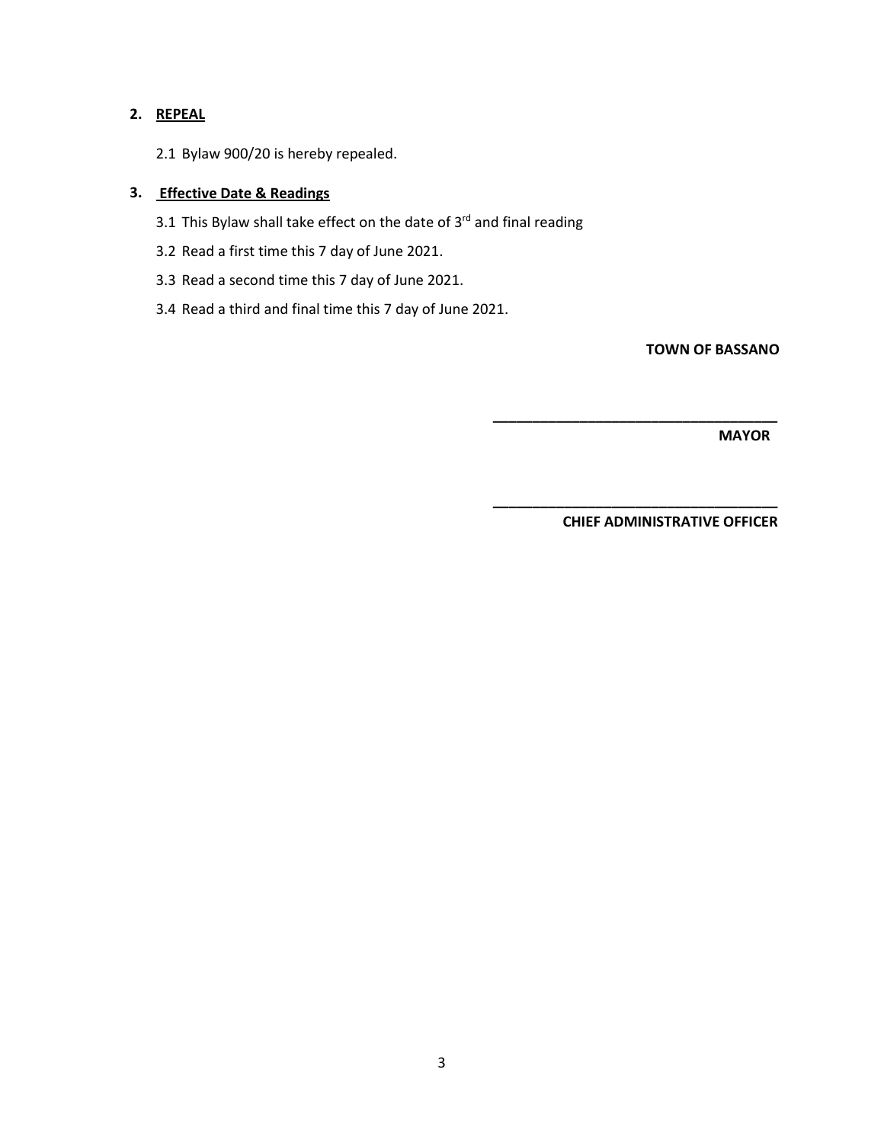### **2. REPEAL**

2.1 Bylaw 900/20 is hereby repealed.

### **3. Effective Date & Readings**

- 3.1 This Bylaw shall take effect on the date of  $3^{rd}$  and final reading
- 3.2 Read a first time this 7 day of June 2021.
- 3.3 Read a second time this 7 day of June 2021.
- 3.4 Read a third and final time this 7 day of June 2021.

**TOWN OF BASSANO**

 **MAYOR**

 **CHIEF ADMINISTRATIVE OFFICER**

 **\_\_\_\_\_\_\_\_\_\_\_\_\_\_\_\_\_\_\_\_\_\_\_\_\_\_\_\_\_\_\_\_\_\_\_\_**

 **\_\_\_\_\_\_\_\_\_\_\_\_\_\_\_\_\_\_\_\_\_\_\_\_\_\_\_\_\_\_\_\_\_\_\_\_**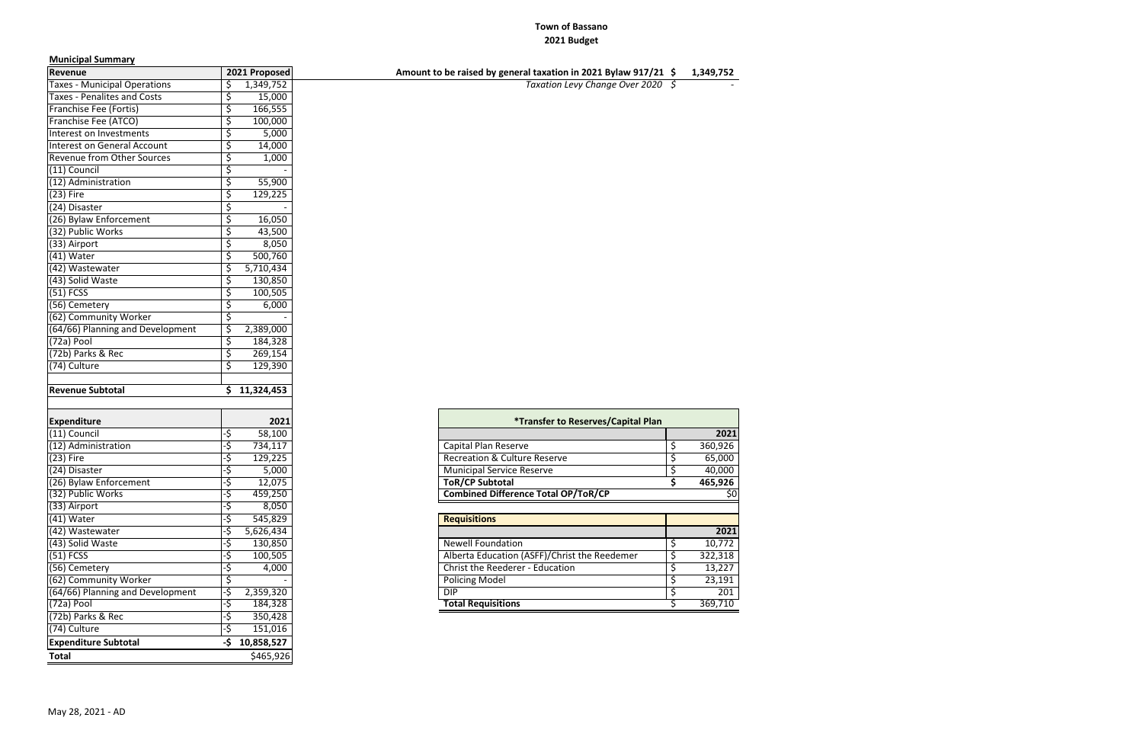### **Town of Bassano 2021 Budget**

### **Municipal Summary**

| Revenue                             |     | 2021 Proposed | Amount to be raised by general taxation in 2021 Bylaw 917/21 \$ |    | 1,349,752 |
|-------------------------------------|-----|---------------|-----------------------------------------------------------------|----|-----------|
| <b>Taxes - Municipal Operations</b> |     | 1,349,752     | Taxation Levy Change Over 2020 \$                               |    |           |
| <b>Taxes - Penalites and Costs</b>  | \$  | 15,000        |                                                                 |    |           |
| Franchise Fee (Fortis)              | \$  | 166,555       |                                                                 |    |           |
| Franchise Fee (ATCO)                | \$  | 100,000       |                                                                 |    |           |
| Interest on Investments             | \$  | 5,000         |                                                                 |    |           |
| Interest on General Account         |     | 14,000        |                                                                 |    |           |
| <b>Revenue from Other Sources</b>   |     | 1,000         |                                                                 |    |           |
| (11) Council                        |     |               |                                                                 |    |           |
| (12) Administration                 |     | 55,900        |                                                                 |    |           |
| $(23)$ Fire                         | \$  | 129,225       |                                                                 |    |           |
| (24) Disaster                       | Ś   |               |                                                                 |    |           |
| (26) Bylaw Enforcement              | \$  | 16,050        |                                                                 |    |           |
| (32) Public Works                   |     | 43,500        |                                                                 |    |           |
| (33) Airport                        | \$  | 8,050         |                                                                 |    |           |
| (41) Water                          | \$  | 500,760       |                                                                 |    |           |
| (42) Wastewater                     |     | 5,710,434     |                                                                 |    |           |
| (43) Solid Waste                    | \$  | 130,850       |                                                                 |    |           |
| $(51)$ FCSS                         | \$  | 100,505       |                                                                 |    |           |
| (56) Cemetery                       | \$  | 6,000         |                                                                 |    |           |
| (62) Community Worker               |     |               |                                                                 |    |           |
| (64/66) Planning and Development    | S   | 2,389,000     |                                                                 |    |           |
| (72a) Pool                          | \$  | 184,328       |                                                                 |    |           |
| (72b) Parks & Rec                   | \$  | 269,154       |                                                                 |    |           |
| (74) Culture                        | \$  | 129,390       |                                                                 |    |           |
|                                     |     |               |                                                                 |    |           |
| <b>Revenue Subtotal</b>             |     | \$11,324,453  |                                                                 |    |           |
|                                     |     |               |                                                                 |    |           |
| <b>Expenditure</b>                  |     | 2021          | <i><b>*Transfer to Reserves/Capital Plan</b></i>                |    |           |
| (11) Council                        | ٠\$ | 58,100        |                                                                 |    | 202       |
| (12) Administration                 | ٠\$ | 734,117       | Capital Plan Reserve                                            | \$ | 360,926   |
| $(23)$ Fire                         | ٠\$ | 129,225       | <b>Recreation &amp; Culture Reserve</b>                         | \$ | 65,000    |
| (24) Disaster                       | ۰\$ | 5,000         | <b>Municipal Service Reserve</b>                                | \$ | 40,000    |
| (26) Bylaw Enforcement              | .<  | 12,075        | <b>ToR/CP Subtotal</b>                                          | ς. | 465,926   |
| (32) Public Works                   | -\$ | 459,250       | <b>Combined Difference Total OP/ToR/CP</b>                      |    | Ś۱        |
| (33) Airport                        | ٠\$ | 8,050         |                                                                 |    |           |
| (41) Water                          | ۰\$ | 545,829       | <b>Requisitions</b>                                             |    |           |
| (42) Wastewater                     |     | 5,626,434     |                                                                 |    | 202       |
| (43) Solid Waste                    |     | 130,850       | <b>Newell Foundation</b>                                        | Ş  | 10,772    |
| $(51)$ FCSS                         |     | 100,505       | Alberta Education (ASFF)/Christ the Reedemer                    | \$ | 322,318   |
| (56) Cemetery                       |     | 4,000         | Christ the Reederer - Education                                 | \$ | 13,227    |
| (62) Community Worker               |     |               | <b>Policing Model</b>                                           | \$ | 23,191    |
| (64/66) Planning and Development    |     | 2,359,320     | <b>DIP</b>                                                      | \$ | 201       |
| (72a) Pool                          | ٠\$ | 184,328       | <b>Total Requisitions</b>                                       |    | 369,710   |
| (72b) Parks & Rec                   | ۰\$ | 350,428       |                                                                 |    |           |
| (74) Culture                        |     | 151,016       |                                                                 |    |           |
| <b>Expenditure Subtotal</b>         | -\$ | 10,858,527    |                                                                 |    |           |
| <b>Total</b>                        |     | \$465,926     |                                                                 |    |           |
|                                     |     |               |                                                                 |    |           |

| <b>Expenditure</b>               |     | 2021      | <i><b>*Transfer to Reserves/Capital Plan</b></i> |  |         |
|----------------------------------|-----|-----------|--------------------------------------------------|--|---------|
| (11) Council                     | כ.  | 58,100    |                                                  |  | 2021    |
| (12) Administration              |     | 734,117   | Capital Plan Reserve                             |  | 360,926 |
| (23) Fire                        | د.  | 129,225   | <b>Recreation &amp; Culture Reserve</b>          |  | 65,000  |
| (24) Disaster                    |     | 5,000     | <b>Municipal Service Reserve</b>                 |  | 40,000  |
| (26) Bylaw Enforcement           |     | 12,075    | <b>ToR/CP Subtotal</b>                           |  | 465,926 |
| (32) Public Works                |     | 459,250   | <b>Combined Difference Total OP/ToR/CP</b>       |  |         |
| (33) Airport                     |     | 8,050     |                                                  |  |         |
| (41) Water                       |     | 545,829   | <b>Requisitions</b>                              |  |         |
| (42) Wastewater                  | ۰\$ | 5,626,434 |                                                  |  | 2021    |
| (43) Solid Waste                 |     | 130,850   | <b>Newell Foundation</b>                         |  | 10,772  |
| (51) FCSS                        |     | 100,505   | Alberta Education (ASFF)/Christ the Reedemer     |  | 322,318 |
| (56) Cemetery                    |     | 4,000     | Christ the Reederer - Education                  |  | 13,227  |
| (62) Community Worker            |     |           | <b>Policing Model</b>                            |  | 23,191  |
| (64/66) Planning and Development | ۰\$ | 2,359,320 | DIP.                                             |  | 201     |
| (72a) Pool                       | .১  | 184,328   | <b>Total Requisitions</b>                        |  | 369,710 |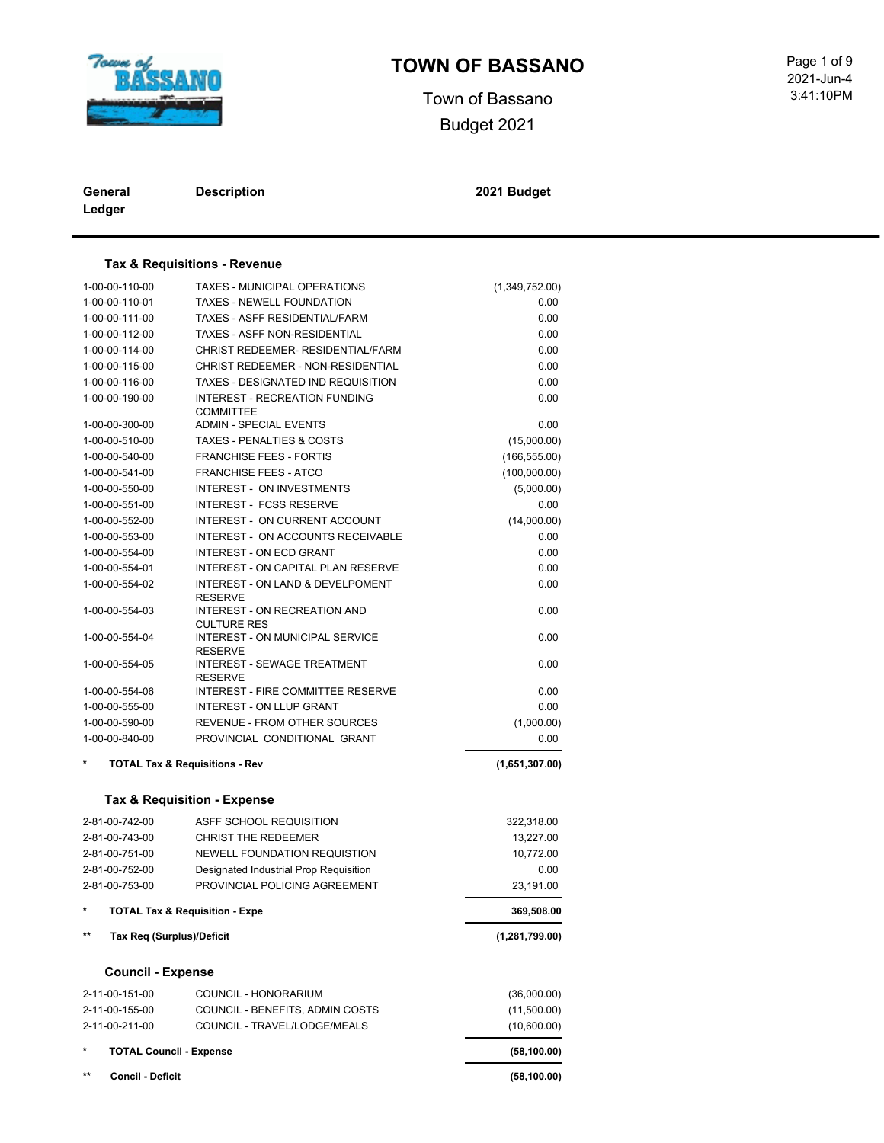

### **TOWN OF BASSANO** Page 1 of 9

Town of Bassano Budget 2021

 3:41:10PM 2021-Jun-4

| General | <b>Description</b> |
|---------|--------------------|
| Ledger  |                    |

**Description 2021 Budget**

### **Tax & Requisitions - Revenue**

| 1-00-00-110-00                     | <b>TAXES - MUNICIPAL OPERATIONS</b>                  | (1,349,752.00) |
|------------------------------------|------------------------------------------------------|----------------|
| 1-00-00-110-01                     | TAXES - NEWELL FOUNDATION                            | 0.00           |
| 1-00-00-111-00                     | TAXES - ASFF RESIDENTIAL/FARM                        | 0.00           |
| 1-00-00-112-00                     | <b>TAXES - ASFF NON-RESIDENTIAL</b>                  | 0.00           |
| 1-00-00-114-00                     | CHRIST REDEEMER- RESIDENTIAL/FARM                    | 0.00           |
| 1-00-00-115-00                     | CHRIST REDEEMER - NON-RESIDENTIAL                    | 0.00           |
| 1-00-00-116-00                     | TAXES - DESIGNATED IND REQUISITION                   | 0.00           |
| 1-00-00-190-00                     | <b>INTEREST - RECREATION FUNDING</b>                 | 0.00           |
|                                    | <b>COMMITTEE</b>                                     |                |
| 1-00-00-300-00                     | <b>ADMIN - SPECIAL EVENTS</b>                        | 0.00           |
| 1-00-00-510-00                     | <b>TAXES - PENALTIES &amp; COSTS</b>                 | (15,000.00)    |
| 1-00-00-540-00                     | <b>FRANCHISE FEES - FORTIS</b>                       | (166, 555.00)  |
| 1-00-00-541-00                     | <b>FRANCHISE FEES - ATCO</b>                         | (100,000.00)   |
| 1-00-00-550-00                     | INTEREST - ON INVESTMENTS                            | (5,000.00)     |
| 1-00-00-551-00                     | <b>INTEREST - FCSS RESERVE</b>                       | 0.00           |
| 1-00-00-552-00                     | INTEREST - ON CURRENT ACCOUNT                        | (14,000.00)    |
| 1-00-00-553-00                     | INTEREST - ON ACCOUNTS RECEIVABLE                    | 0.00           |
| 1-00-00-554-00                     | <b>INTEREST - ON ECD GRANT</b>                       | 0.00           |
| 1-00-00-554-01                     | <b>INTEREST - ON CAPITAL PLAN RESERVE</b>            | 0.00           |
| 1-00-00-554-02                     | INTEREST - ON LAND & DEVELPOMENT<br><b>RESERVE</b>   | 0.00           |
| 1-00-00-554-03                     | INTEREST - ON RECREATION AND<br><b>CULTURE RES</b>   | 0.00           |
| 1-00-00-554-04                     | INTEREST - ON MUNICIPAL SERVICE<br><b>RESERVE</b>    |                |
| 1-00-00-554-05                     | <b>INTEREST - SEWAGE TREATMENT</b><br><b>RESERVE</b> | 0.00           |
| 1-00-00-554-06                     | <b>INTEREST - FIRE COMMITTEE RESERVE</b>             | 0.00           |
| 1-00-00-555-00                     | <b>INTEREST - ON LLUP GRANT</b>                      | 0.00           |
| 1-00-00-590-00                     | REVENUE - FROM OTHER SOURCES                         | (1,000.00)     |
| 1-00-00-840-00                     | PROVINCIAL CONDITIONAL GRANT                         | 0.00           |
|                                    | <b>TOTAL Tax &amp; Requisitions - Rev</b>            | (1,651,307.00) |
|                                    | Tax & Requisition - Expense                          |                |
| 2-81-00-742-00                     | ASFF SCHOOL REQUISITION                              | 322,318.00     |
| 2-81-00-743-00                     | <b>CHRIST THE REDEEMER</b>                           | 13,227.00      |
| 2-81-00-751-00                     | NEWELL FOUNDATION REQUISTION                         | 10,772.00      |
| 2-81-00-752-00                     | Designated Industrial Prop Requisition               | 0.00           |
| 2-81-00-753-00                     | PROVINCIAL POLICING AGREEMENT                        | 23,191.00      |
| $\star$                            | <b>TOTAL Tax &amp; Requisition - Expe</b>            | 369,508.00     |
| $***$<br>Tax Req (Surplus)/Deficit |                                                      | (1,281,799.00) |
| <b>Council - Expense</b>           |                                                      |                |
| 2-11-00-151-00                     | COUNCIL - HONORARIUM                                 | (36,000.00)    |
| 2-11-00-155-00                     | COUNCIL - BENEFITS, ADMIN COSTS                      | (11,500.00)    |
| 2-11-00-211-00                     | COUNCIL - TRAVEL/LODGE/MEALS                         | (10,600.00)    |
| <b>TOTAL Council - Expense</b>     |                                                      | (58, 100.00)   |

**\*\* Concil - Deficit (58,100.00)**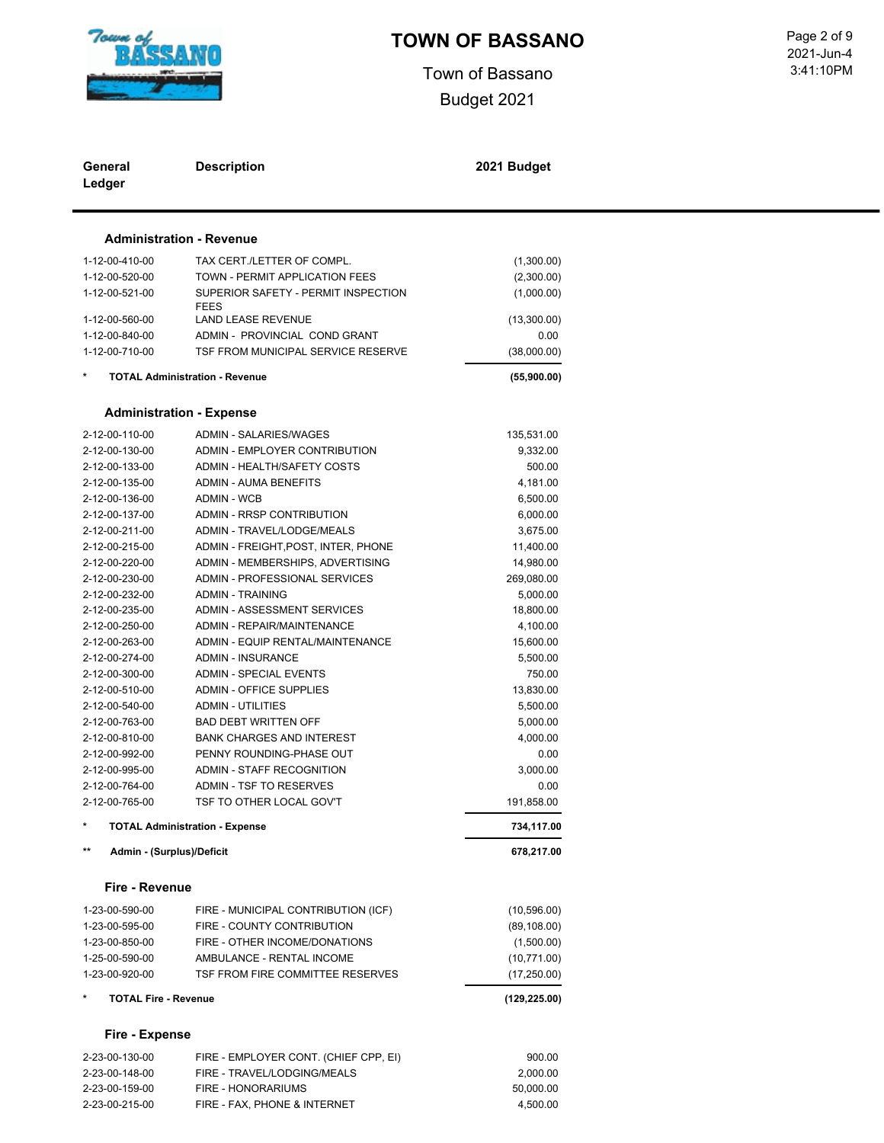

Town of Bassano Budget 2021

 3:41:10PM Page 2 of 9<br>2021-Jun-4

| General<br>Ledger                  | <b>Description</b>                                  | 2021 Budget        |  |
|------------------------------------|-----------------------------------------------------|--------------------|--|
|                                    | <b>Administration - Revenue</b>                     |                    |  |
| 1-12-00-410-00                     | TAX CERT./LETTER OF COMPL.                          | (1,300.00)         |  |
| 1-12-00-520-00                     | TOWN - PERMIT APPLICATION FEES                      | (2,300.00)         |  |
| 1-12-00-521-00                     | SUPERIOR SAFETY - PERMIT INSPECTION                 | (1,000.00)         |  |
|                                    | <b>FEES</b>                                         |                    |  |
| 1-12-00-560-00                     | LAND LEASE REVENUE                                  | (13,300.00)        |  |
| 1-12-00-840-00                     | ADMIN - PROVINCIAL COND GRANT                       | 0.00               |  |
| 1-12-00-710-00                     | TSF FROM MUNICIPAL SERVICE RESERVE                  | (38,000.00)        |  |
|                                    | <b>TOTAL Administration - Revenue</b>               | (55,900.00)        |  |
|                                    | <b>Administration - Expense</b>                     |                    |  |
|                                    |                                                     |                    |  |
| 2-12-00-110-00                     | ADMIN - SALARIES/WAGES                              | 135,531.00         |  |
| 2-12-00-130-00                     | ADMIN - EMPLOYER CONTRIBUTION                       | 9,332.00           |  |
| 2-12-00-133-00                     | ADMIN - HEALTH/SAFETY COSTS                         | 500.00             |  |
| 2-12-00-135-00                     | ADMIN - AUMA BENEFITS                               | 4,181.00           |  |
| 2-12-00-136-00                     | <b>ADMIN - WCB</b>                                  | 6,500.00           |  |
| 2-12-00-137-00                     | ADMIN - RRSP CONTRIBUTION                           | 6,000.00           |  |
| 2-12-00-211-00                     | ADMIN - TRAVEL/LODGE/MEALS                          | 3,675.00           |  |
| 2-12-00-215-00                     | ADMIN - FREIGHT, POST, INTER, PHONE                 | 11,400.00          |  |
| 2-12-00-220-00                     | ADMIN - MEMBERSHIPS, ADVERTISING                    | 14,980.00          |  |
| 2-12-00-230-00                     | ADMIN - PROFESSIONAL SERVICES                       | 269,080.00         |  |
| 2-12-00-232-00                     | <b>ADMIN - TRAINING</b>                             | 5,000.00           |  |
| 2-12-00-235-00                     | ADMIN - ASSESSMENT SERVICES                         | 18,800.00          |  |
| 2-12-00-250-00                     | ADMIN - REPAIR/MAINTENANCE                          | 4,100.00           |  |
| 2-12-00-263-00                     | ADMIN - EQUIP RENTAL/MAINTENANCE                    | 15,600.00          |  |
| 2-12-00-274-00                     | <b>ADMIN - INSURANCE</b>                            | 5,500.00           |  |
| 2-12-00-300-00                     | <b>ADMIN - SPECIAL EVENTS</b>                       | 750.00             |  |
| 2-12-00-510-00                     | <b>ADMIN - OFFICE SUPPLIES</b>                      | 13,830.00          |  |
| 2-12-00-540-00                     | <b>ADMIN - UTILITIES</b>                            | 5,500.00           |  |
| 2-12-00-763-00                     | <b>BAD DEBT WRITTEN OFF</b>                         | 5,000.00           |  |
| 2-12-00-810-00                     | <b>BANK CHARGES AND INTEREST</b>                    | 4,000.00           |  |
| 2-12-00-992-00                     | PENNY ROUNDING-PHASE OUT                            | 0.00               |  |
| 2-12-00-995-00                     | ADMIN - STAFF RECOGNITION                           | 3,000.00           |  |
| 2-12-00-764-00<br>2-12-00-765-00   | ADMIN - TSF TO RESERVES<br>TSF TO OTHER LOCAL GOV'T | 0.00<br>191,858.00 |  |
|                                    | <b>TOTAL Administration - Expense</b>               | 734,117.00         |  |
| $***$<br>Admin - (Surplus)/Deficit |                                                     | 678,217.00         |  |
|                                    |                                                     |                    |  |
| Fire - Revenue                     |                                                     |                    |  |
| 1-23-00-590-00                     | FIRE - MUNICIPAL CONTRIBUTION (ICF)                 | (10, 596.00)       |  |
| 1-23-00-595-00                     | FIRE - COUNTY CONTRIBUTION                          | (89, 108.00)       |  |
| 1-23-00-850-00                     | FIRE - OTHER INCOME/DONATIONS                       | (1,500.00)         |  |
| 1-25-00-590-00                     | AMBULANCE - RENTAL INCOME                           | (10,771.00)        |  |
| 1-23-00-920-00                     | TSF FROM FIRE COMMITTEE RESERVES                    | (17,250.00)        |  |
| <b>TOTAL Fire - Revenue</b>        |                                                     | (129, 225.00)      |  |
| <b>Fire - Expense</b>              |                                                     |                    |  |
| 2-23-00-130-00                     | FIRE - EMPLOYER CONT. (CHIEF CPP, EI)               | 900.00             |  |
| 2-23-00-148-00                     | FIRE - TRAVEL/LODGING/MEALS                         | 2,000.00           |  |
| 2-23-00-159-00                     | FIRE - HONORARIUMS                                  | 50,000.00          |  |
| 2-23-00-215-00                     | FIRE - FAX, PHONE & INTERNET                        | 4,500.00           |  |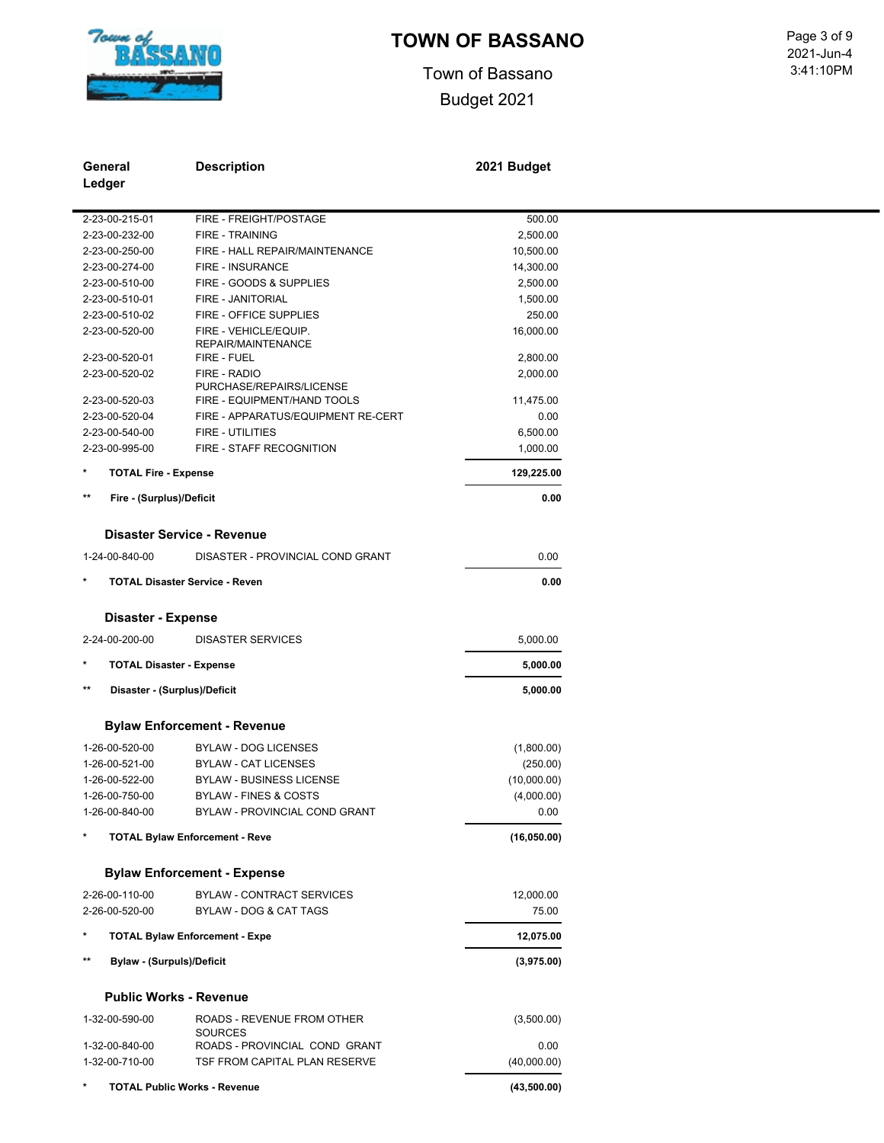

### **TOWN OF BASSANO** Page 3 of 9

Town of Bassano Budget 2021

 3:41:10PM 2021-Jun-4

| General<br>Ledger                                | <b>Description</b>                           | 2021 Budget  |
|--------------------------------------------------|----------------------------------------------|--------------|
| 2-23-00-215-01                                   | FIRE - FREIGHT/POSTAGE                       | 500.00       |
| 2-23-00-232-00                                   | <b>FIRE - TRAINING</b>                       | 2,500.00     |
| 2-23-00-250-00                                   | FIRE - HALL REPAIR/MAINTENANCE               | 10,500.00    |
| 2-23-00-274-00                                   | FIRE - INSURANCE                             | 14,300.00    |
| 2-23-00-510-00                                   | FIRE - GOODS & SUPPLIES                      | 2,500.00     |
| 2-23-00-510-01                                   | FIRE - JANITORIAL                            | 1,500.00     |
| 2-23-00-510-02                                   | FIRE - OFFICE SUPPLIES                       | 250.00       |
| 2-23-00-520-00                                   | FIRE - VEHICLE/EQUIP.<br>REPAIR/MAINTENANCE  | 16,000.00    |
| 2-23-00-520-01                                   | FIRE - FUEL                                  | 2,800.00     |
| 2-23-00-520-02                                   | FIRE - RADIO                                 | 2,000.00     |
|                                                  | PURCHASE/REPAIRS/LICENSE                     |              |
| 2-23-00-520-03                                   | FIRE - EQUIPMENT/HAND TOOLS                  | 11,475.00    |
| 2-23-00-520-04                                   | FIRE - APPARATUS/EQUIPMENT RE-CERT           | 0.00         |
| 2-23-00-540-00                                   | FIRE - UTILITIES                             | 6,500.00     |
| 2-23-00-995-00                                   | FIRE - STAFF RECOGNITION                     | 1,000.00     |
| <b>TOTAL Fire - Expense</b>                      |                                              | 129,225.00   |
| $***$<br>Fire - (Surplus)/Deficit                |                                              | 0.00         |
|                                                  | Disaster Service - Revenue                   |              |
| 1-24-00-840-00                                   | DISASTER - PROVINCIAL COND GRANT             | 0.00         |
|                                                  | <b>TOTAL Disaster Service - Reven</b>        | 0.00         |
| <b>Disaster - Expense</b>                        |                                              |              |
| 2-24-00-200-00                                   | <b>DISASTER SERVICES</b>                     | 5,000.00     |
| <b>TOTAL Disaster - Expense</b>                  |                                              | 5,000.00     |
| $\star\star$<br>Disaster - (Surplus)/Deficit     |                                              | 5,000.00     |
|                                                  | <b>Bylaw Enforcement - Revenue</b>           |              |
| 1-26-00-520-00                                   | <b>BYLAW - DOG LICENSES</b>                  | (1,800.00)   |
| 1-26-00-521-00                                   | <b>BYLAW - CAT LICENSES</b>                  | (250.00)     |
| 1-26-00-522-00                                   | <b>BYLAW - BUSINESS LICENSE</b>              | (10,000.00)  |
| 1-26-00-750-00                                   | <b>BYLAW - FINES &amp; COSTS</b>             | (4,000.00)   |
| 1-26-00-840-00                                   | BYLAW - PROVINCIAL COND GRANT                | 0.00         |
|                                                  |                                              |              |
|                                                  | <b>TOTAL Bylaw Enforcement - Reve</b>        | (16, 050.00) |
|                                                  | <b>Bylaw Enforcement - Expense</b>           |              |
| 2-26-00-110-00                                   | <b>BYLAW - CONTRACT SERVICES</b>             | 12,000.00    |
| 2-26-00-520-00                                   | BYLAW - DOG & CAT TAGS                       | 75.00        |
|                                                  | <b>TOTAL Bylaw Enforcement - Expe</b>        | 12,075.00    |
| $\star\star$<br><b>Bylaw - (Surpuls)/Deficit</b> |                                              | (3,975.00)   |
|                                                  | <b>Public Works - Revenue</b>                |              |
| 1-32-00-590-00                                   | ROADS - REVENUE FROM OTHER<br><b>SOURCES</b> | (3,500.00)   |
| 1-32-00-840-00                                   | ROADS - PROVINCIAL COND GRANT                | 0.00         |
| 1-32-00-710-00                                   | TSF FROM CAPITAL PLAN RESERVE                | (40,000.00)  |
|                                                  | <b>TOTAL Public Works - Revenue</b>          | (43,500.00)  |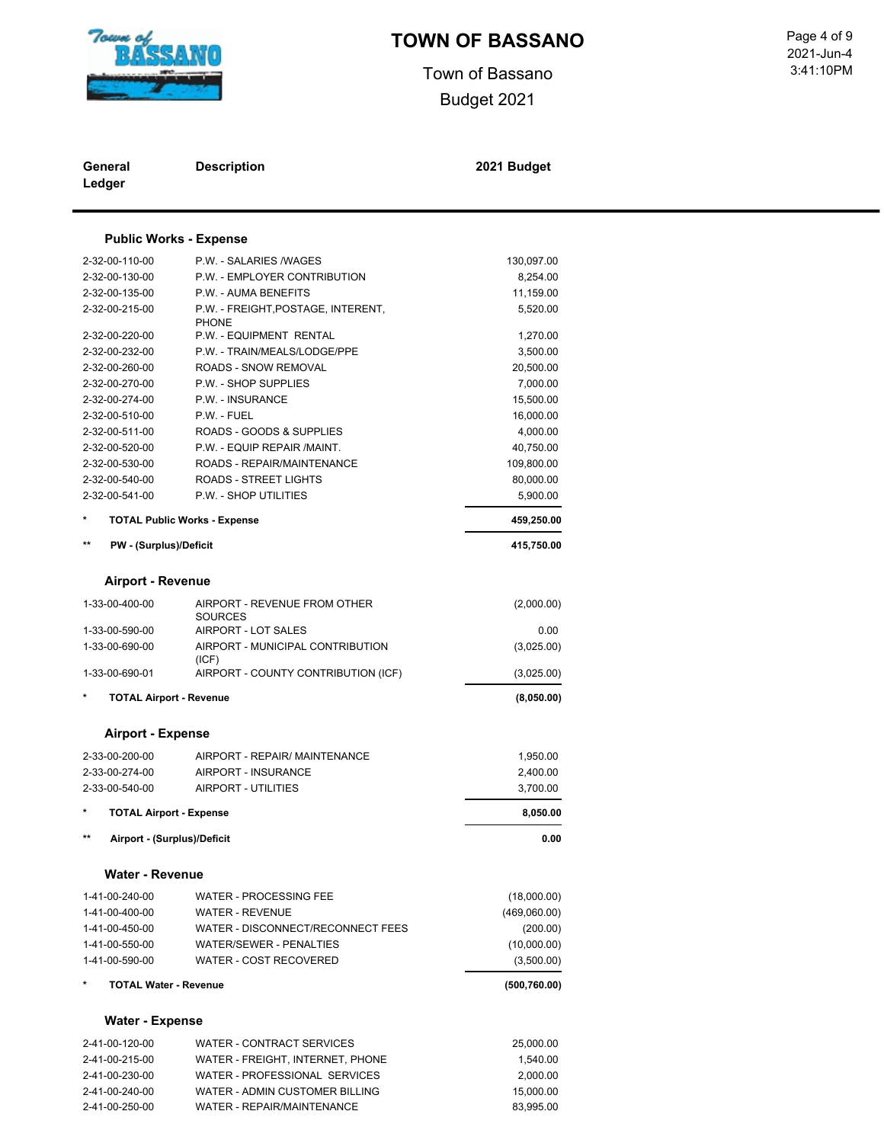

Town of Bassano Budget 2021

 3:41:10PM 2021-Jun-4

| General<br>Ledger |                                  | <b>Description</b>                                | 2021 Budget          |
|-------------------|----------------------------------|---------------------------------------------------|----------------------|
|                   |                                  | <b>Public Works - Expense</b>                     |                      |
|                   | 2-32-00-110-00                   | P.W. - SALARIES /WAGES                            | 130,097.00           |
|                   | 2-32-00-130-00                   | P.W. - EMPLOYER CONTRIBUTION                      | 8,254.00             |
|                   | 2-32-00-135-00                   | P.W. - AUMA BENEFITS                              | 11,159.00            |
|                   | 2-32-00-215-00                   | P.W. - FREIGHT, POSTAGE, INTERENT,                | 5,520.00             |
|                   |                                  | <b>PHONE</b>                                      |                      |
|                   | 2-32-00-220-00                   | P.W. - EQUIPMENT RENTAL                           | 1,270.00             |
|                   | 2-32-00-232-00                   | P.W. - TRAIN/MEALS/LODGE/PPE                      | 3,500.00             |
|                   | 2-32-00-260-00                   | ROADS - SNOW REMOVAL                              | 20,500.00            |
|                   | 2-32-00-270-00                   | P.W. - SHOP SUPPLIES                              | 7,000.00             |
|                   | 2-32-00-274-00                   | P.W. - INSURANCE                                  | 15,500.00            |
|                   | 2-32-00-510-00                   | P.W. - FUEL                                       | 16,000.00            |
|                   | 2-32-00-511-00                   | ROADS - GOODS & SUPPLIES                          | 4,000.00             |
|                   | 2-32-00-520-00                   | P.W. - EQUIP REPAIR /MAINT.                       | 40,750.00            |
|                   | 2-32-00-530-00                   | ROADS - REPAIR/MAINTENANCE                        | 109,800.00           |
|                   | 2-32-00-540-00                   | ROADS - STREET LIGHTS                             | 80,000.00            |
|                   | 2-32-00-541-00                   | P.W. - SHOP UTILITIES                             | 5,900.00             |
| $^\star$          |                                  | <b>TOTAL Public Works - Expense</b>               | 459,250.00           |
| $\star\star$      | PW - (Surplus)/Deficit           |                                                   | 415,750.00           |
|                   | <b>Airport - Revenue</b>         |                                                   |                      |
|                   | 1-33-00-400-00                   | AIRPORT - REVENUE FROM OTHER                      | (2,000.00)           |
|                   |                                  | <b>SOURCES</b>                                    |                      |
|                   | 1-33-00-590-00                   | AIRPORT - LOT SALES                               | 0.00                 |
|                   | 1-33-00-690-00                   | AIRPORT - MUNICIPAL CONTRIBUTION                  | (3,025.00)           |
|                   | 1-33-00-690-01                   | (ICF)<br>AIRPORT - COUNTY CONTRIBUTION (ICF)      | (3,025.00)           |
| $^\star$          | <b>TOTAL Airport - Revenue</b>   |                                                   | (8,050.00)           |
|                   | <b>Airport - Expense</b>         |                                                   |                      |
|                   |                                  | AIRPORT - REPAIR/ MAINTENANCE                     |                      |
|                   | 2-33-00-200-00                   |                                                   | 1,950.00             |
|                   | 2-33-00-274-00<br>2-33-00-540-00 | AIRPORT - INSURANCE<br><b>AIRPORT - UTILITIES</b> | 2,400.00<br>3,700.00 |
| $\star$           |                                  |                                                   |                      |
|                   | <b>TOTAL Airport - Expense</b>   |                                                   | 8,050.00             |
| **                | Airport - (Surplus)/Deficit      |                                                   | 0.00                 |
|                   | <b>Water - Revenue</b>           |                                                   |                      |
|                   | 1-41-00-240-00                   | <b>WATER - PROCESSING FEE</b>                     | (18,000.00)          |
|                   | 1-41-00-400-00                   | <b>WATER - REVENUE</b>                            | (469,060.00)         |
|                   | 1-41-00-450-00                   | WATER - DISCONNECT/RECONNECT FEES                 | (200.00)             |
|                   | 1-41-00-550-00                   | WATER/SEWER - PENALTIES                           | (10,000.00)          |
|                   | 1-41-00-590-00                   | WATER - COST RECOVERED                            | (3,500.00)           |
| $^\star$          | <b>TOTAL Water - Revenue</b>     |                                                   | (500, 760.00)        |
|                   | <b>Water - Expense</b>           |                                                   |                      |
|                   | 2-41-00-120-00                   | <b>WATER - CONTRACT SERVICES</b>                  | 25,000.00            |
|                   | 2-41-00-215-00                   | WATER - FREIGHT, INTERNET, PHONE                  | 1,540.00             |
|                   | 2-41-00-230-00                   | WATER - PROFESSIONAL SERVICES                     | 2,000.00             |
|                   | 2-41-00-240-00                   | WATER - ADMIN CUSTOMER BILLING                    | 15,000.00            |

2-41-00-250-00 WATER - REPAIR/MAINTENANCE 83,995.00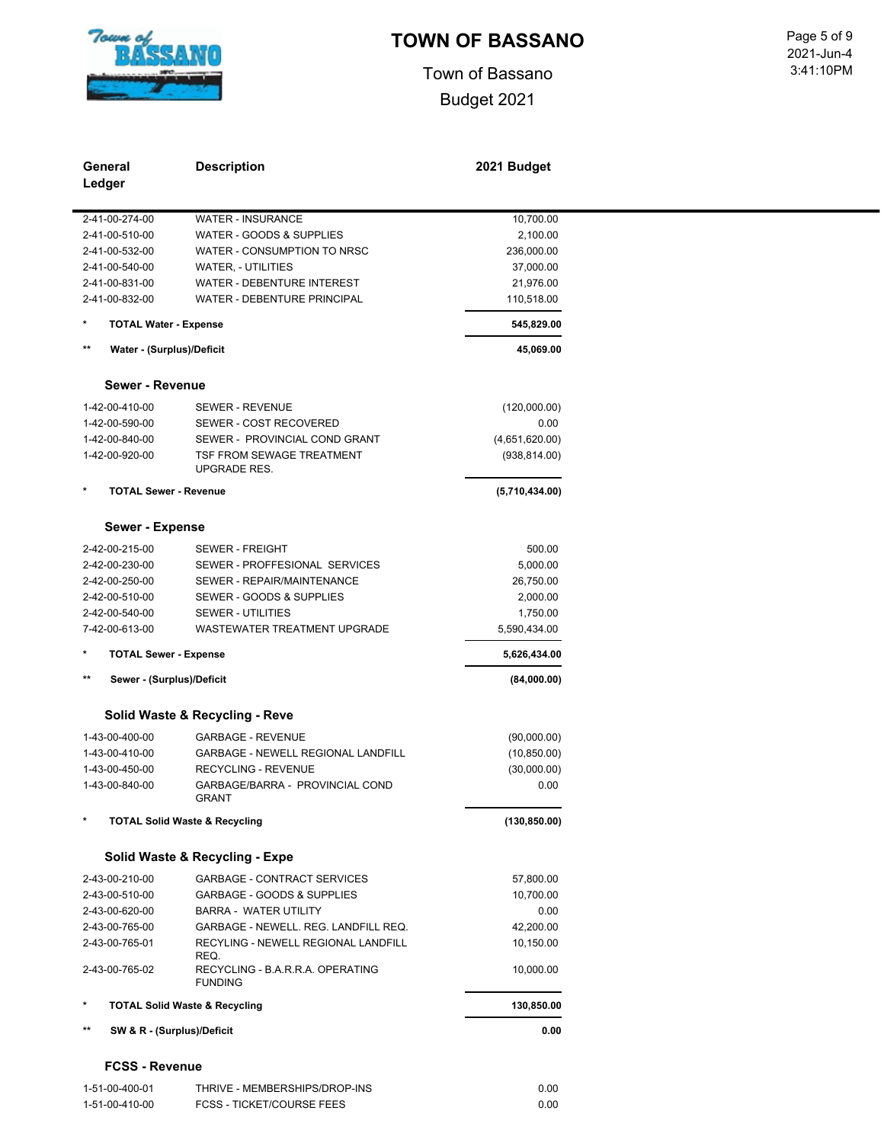

Town of Bassano Budget 2021

 3:41:10PM Page 5 of 9<br>2021-Jun-4

| General<br>Ledger                            | <b>Description</b>                                         | 2021 Budget          |
|----------------------------------------------|------------------------------------------------------------|----------------------|
| 2-41-00-274-00                               | <b>WATER - INSURANCE</b>                                   | 10,700.00            |
| 2-41-00-510-00                               | WATER - GOODS & SUPPLIES                                   | 2,100.00             |
| 2-41-00-532-00                               | WATER - CONSUMPTION TO NRSC                                | 236,000.00           |
| 2-41-00-540-00                               | <b>WATER, - UTILITIES</b>                                  | 37,000.00            |
| 2-41-00-831-00                               | WATER - DEBENTURE INTEREST                                 | 21,976.00            |
| 2-41-00-832-00                               | WATER - DEBENTURE PRINCIPAL                                | 110,518.00           |
| $\ast$<br><b>TOTAL Water - Expense</b>       |                                                            | 545,829.00           |
| $^{\star\star}$<br>Water - (Surplus)/Deficit |                                                            | 45,069.00            |
| Sewer - Revenue                              |                                                            |                      |
|                                              |                                                            |                      |
| 1-42-00-410-00<br>1-42-00-590-00             | SEWER - REVENUE<br>SEWER - COST RECOVERED                  | (120,000.00)<br>0.00 |
| 1-42-00-840-00                               | SEWER - PROVINCIAL COND GRANT                              | (4,651,620.00)       |
| 1-42-00-920-00                               | TSF FROM SEWAGE TREATMENT                                  | (938, 814.00)        |
|                                              | <b>UPGRADE RES.</b>                                        |                      |
| $\star$<br><b>TOTAL Sewer - Revenue</b>      |                                                            | (5,710,434.00)       |
| Sewer - Expense                              |                                                            |                      |
| 2-42-00-215-00                               | <b>SEWER - FREIGHT</b>                                     | 500.00               |
| 2-42-00-230-00                               | SEWER - PROFFESIONAL SERVICES                              | 5,000.00             |
| 2-42-00-250-00                               | SEWER - REPAIR/MAINTENANCE                                 | 26,750.00            |
| 2-42-00-510-00                               | SEWER - GOODS & SUPPLIES                                   | 2,000.00             |
| 2-42-00-540-00                               | <b>SEWER - UTILITIES</b>                                   | 1,750.00             |
| 7-42-00-613-00                               | WASTEWATER TREATMENT UPGRADE                               | 5,590,434.00         |
| <b>TOTAL Sewer - Expense</b><br>$\ast$       |                                                            | 5,626,434.00         |
| $***$<br>Sewer - (Surplus)/Deficit           |                                                            | (84,000.00)          |
|                                              | Solid Waste & Recycling - Reve                             |                      |
| 1-43-00-400-00                               | <b>GARBAGE - REVENUE</b>                                   | (90,000.00)          |
| 1-43-00-410-00                               | GARBAGE - NEWELL REGIONAL LANDFILL                         | (10, 850.00)         |
| 1-43-00-450-00                               | RECYCLING - REVENUE                                        | (30,000.00)          |
| 1-43-00-840-00                               | GARBAGE/BARRA - PROVINCIAL COND<br><b>GRAN</b> I           | 0.00                 |
|                                              | <b>TOTAL Solid Waste &amp; Recycling</b>                   | (130, 850.00)        |
|                                              | Solid Waste & Recycling - Expe                             |                      |
| 2-43-00-210-00                               | <b>GARBAGE - CONTRACT SERVICES</b>                         | 57,800.00            |
| 2-43-00-510-00                               | GARBAGE - GOODS & SUPPLIES                                 | 10,700.00            |
| 2-43-00-620-00                               | <b>BARRA - WATER UTILITY</b>                               | 0.00                 |
| 2-43-00-765-00                               | GARBAGE - NEWELL. REG. LANDFILL REQ.                       | 42,200.00            |
| 2-43-00-765-01                               | RECYLING - NEWELL REGIONAL LANDFILL                        | 10,150.00            |
| 2-43-00-765-02                               | REQ.<br>RECYCLING - B.A.R.R.A. OPERATING<br><b>FUNDING</b> | 10,000.00            |
| *                                            | <b>TOTAL Solid Waste &amp; Recycling</b>                   | 130,850.00           |
| $\star\star$<br>SW & R - (Surplus)/Deficit   |                                                            | 0.00                 |
| <b>FCSS - Revenue</b>                        |                                                            |                      |

| 1-51-00-400-01 | THRIVE - MEMBERSHIPS/DROP-INS    | 0.00 |
|----------------|----------------------------------|------|
| 1-51-00-410-00 | <b>FCSS - TICKET/COURSE FEES</b> | 0.00 |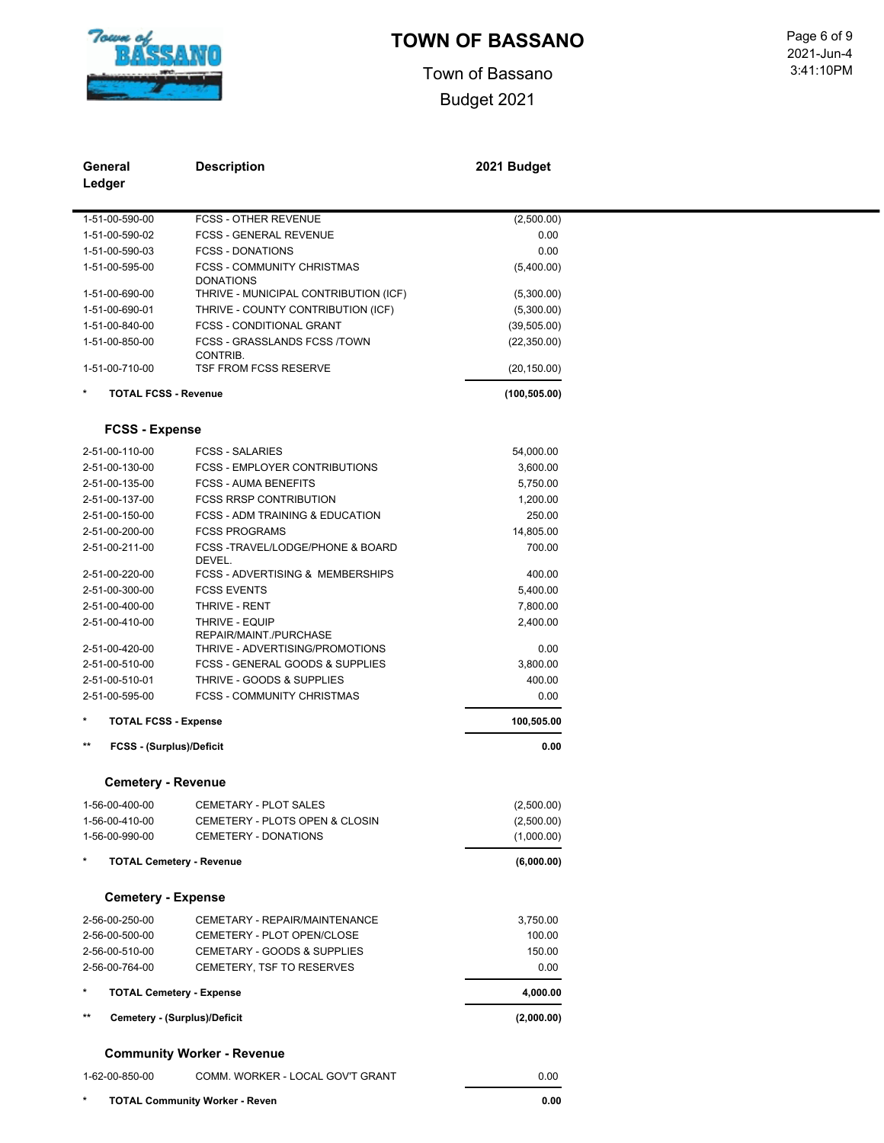

Town of Bassano Budget 2021

 3:41:10PM Page 6 of 9<br>2021-Jun-4

| General<br>Ledger                    | <b>Description</b>                                             | 2021 Budget    |  |
|--------------------------------------|----------------------------------------------------------------|----------------|--|
|                                      |                                                                |                |  |
| 1-51-00-590-00                       | <b>FCSS - OTHER REVENUE</b>                                    | (2,500.00)     |  |
| 1-51-00-590-02                       | <b>FCSS - GENERAL REVENUE</b><br><b>FCSS - DONATIONS</b>       | 0.00           |  |
| 1-51-00-590-03                       | <b>FCSS - COMMUNITY CHRISTMAS</b>                              | 0.00           |  |
| 1-51-00-595-00                       | <b>DONATIONS</b>                                               | (5,400.00)     |  |
| 1-51-00-690-00                       | THRIVE - MUNICIPAL CONTRIBUTION (ICF)                          | (5,300.00)     |  |
| 1-51-00-690-01                       | THRIVE - COUNTY CONTRIBUTION (ICF)                             | (5,300.00)     |  |
| 1-51-00-840-00                       | <b>FCSS - CONDITIONAL GRANT</b>                                | (39, 505.00)   |  |
| 1-51-00-850-00                       | FCSS - GRASSLANDS FCSS /TOWN                                   | (22, 350.00)   |  |
| 1-51-00-710-00                       | CONTRIB.<br>TSF FROM FCSS RESERVE                              | (20, 150.00)   |  |
|                                      |                                                                |                |  |
| <b>TOTAL FCSS - Revenue</b>          |                                                                | (100, 505.00)  |  |
| <b>FCSS - Expense</b>                |                                                                |                |  |
| 2-51-00-110-00                       | <b>FCSS - SALARIES</b>                                         | 54,000.00      |  |
| 2-51-00-130-00                       | <b>FCSS - EMPLOYER CONTRIBUTIONS</b>                           | 3,600.00       |  |
| 2-51-00-135-00                       | <b>FCSS - AUMA BENEFITS</b>                                    | 5,750.00       |  |
| 2-51-00-137-00                       | <b>FCSS RRSP CONTRIBUTION</b>                                  | 1,200.00       |  |
| 2-51-00-150-00                       | <b>FCSS - ADM TRAINING &amp; EDUCATION</b>                     | 250.00         |  |
| 2-51-00-200-00                       | <b>FCSS PROGRAMS</b>                                           | 14,805.00      |  |
| 2-51-00-211-00                       | FCSS-TRAVEL/LODGE/PHONE & BOARD<br>DEVEL.                      | 700.00         |  |
| 2-51-00-220-00                       | <b>FCSS - ADVERTISING &amp; MEMBERSHIPS</b>                    | 400.00         |  |
| 2-51-00-300-00                       | <b>FCSS EVENTS</b>                                             | 5,400.00       |  |
| 2-51-00-400-00                       | THRIVE - RENT                                                  | 7,800.00       |  |
| 2-51-00-410-00                       | THRIVE - EQUIP                                                 | 2,400.00       |  |
|                                      | REPAIR/MAINT./PURCHASE                                         |                |  |
| 2-51-00-420-00                       | THRIVE - ADVERTISING/PROMOTIONS                                | 0.00           |  |
| 2-51-00-510-00                       | <b>FCSS - GENERAL GOODS &amp; SUPPLIES</b>                     | 3,800.00       |  |
| 2-51-00-510-01<br>2-51-00-595-00     | THRIVE - GOODS & SUPPLIES<br><b>FCSS - COMMUNITY CHRISTMAS</b> | 400.00<br>0.00 |  |
| $\star$                              |                                                                | 100,505.00     |  |
| <b>TOTAL FCSS - Expense</b><br>$***$ |                                                                |                |  |
| <b>FCSS - (Surplus)/Deficit</b>      |                                                                | 0.00           |  |
| <b>Cemetery - Revenue</b>            |                                                                |                |  |
| 1-56-00-400-00                       | CEMETARY - PLOT SALES                                          | (2,500.00)     |  |
| 1-56-00-410-00                       | CEMETERY - PLOTS OPEN & CLOSIN                                 | (2,500.00)     |  |
| 1-56-00-990-00                       | <b>CEMETERY - DONATIONS</b>                                    | (1,000.00)     |  |
| <b>TOTAL Cemetery - Revenue</b>      |                                                                | (6,000.00)     |  |
| <b>Cemetery - Expense</b>            |                                                                |                |  |
| 2-56-00-250-00                       | CEMETARY - REPAIR/MAINTENANCE                                  | 3,750.00       |  |
| 2-56-00-500-00                       | CEMETERY - PLOT OPEN/CLOSE                                     | 100.00         |  |
| 2-56-00-510-00                       | CEMETARY - GOODS & SUPPLIES                                    | 150.00         |  |
| 2-56-00-764-00                       | CEMETERY, TSF TO RESERVES                                      | 0.00           |  |
| <b>TOTAL Cemetery - Expense</b>      |                                                                | 4,000.00       |  |
| $***$                                | Cemetery - (Surplus)/Deficit                                   | (2,000.00)     |  |
|                                      | <b>Community Worker - Revenue</b>                              |                |  |
| 1-62-00-850-00                       | COMM. WORKER - LOCAL GOV'T GRANT                               | 0.00           |  |
| *                                    | <b>TOTAL Community Worker - Reven</b>                          | 0.00           |  |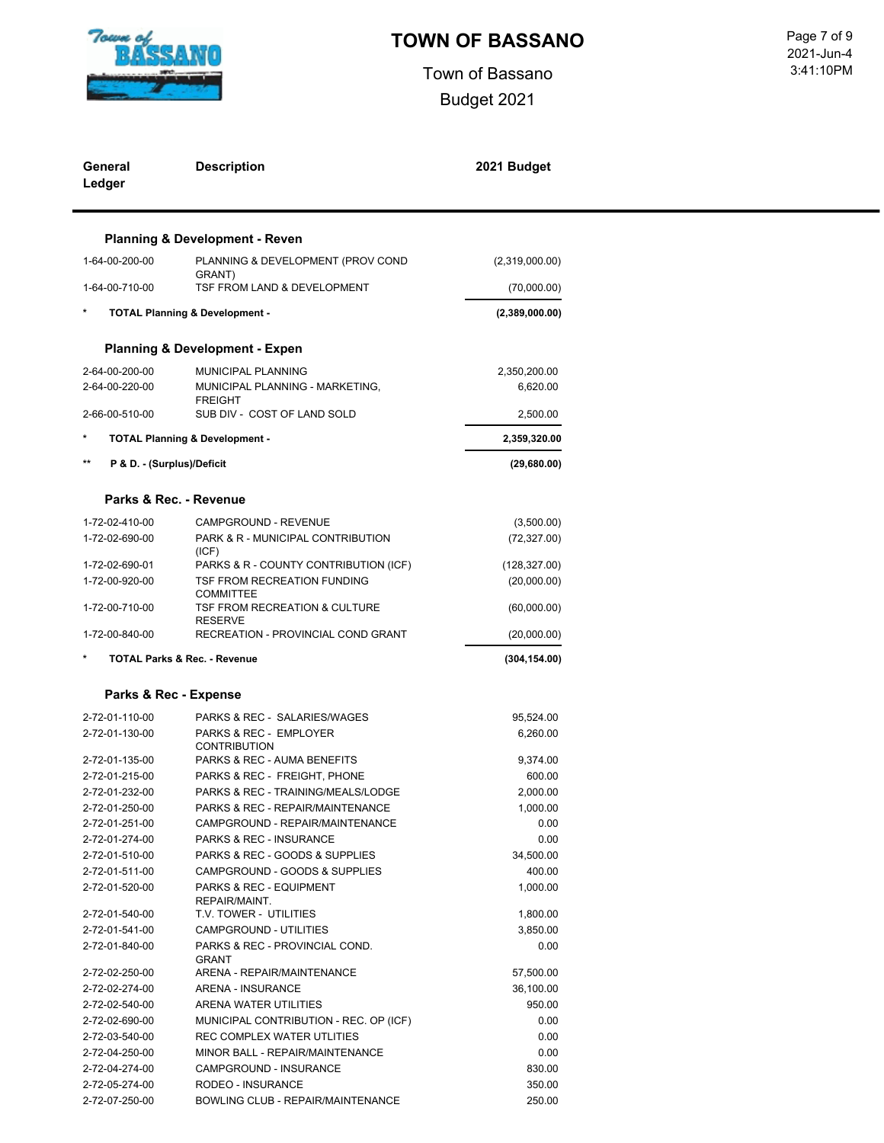

Town of Bassano Budget 2021

 3:41:10PM Page 7 of 9<br>2021-Jun-4

|      | General<br>Ledger                | <b>Description</b>                                              | 2021 Budget         |
|------|----------------------------------|-----------------------------------------------------------------|---------------------|
|      |                                  | <b>Planning &amp; Development - Reven</b>                       |                     |
|      | 1-64-00-200-00                   | PLANNING & DEVELOPMENT (PROV COND                               | (2,319,000.00)      |
|      | 1-64-00-710-00                   | GRANT)<br>TSF FROM LAND & DEVELOPMENT                           | (70,000.00)         |
|      |                                  | <b>TOTAL Planning &amp; Development -</b>                       | (2,389,000.00)      |
|      |                                  | <b>Planning &amp; Development - Expen</b>                       |                     |
|      | 2-64-00-200-00                   | MUNICIPAL PLANNING                                              | 2,350,200.00        |
|      | 2-64-00-220-00                   | MUNICIPAL PLANNING - MARKETING,                                 | 6,620.00            |
|      | 2-66-00-510-00                   | <b>FREIGHT</b><br>SUB DIV - COST OF LAND SOLD                   | 2,500.00            |
|      |                                  |                                                                 |                     |
| $**$ |                                  | <b>TOTAL Planning &amp; Development -</b>                       | 2,359,320.00        |
|      | P & D. - (Surplus)/Deficit       |                                                                 | (29,680.00)         |
|      |                                  | Parks & Rec. - Revenue                                          |                     |
|      | 1-72-02-410-00                   | CAMPGROUND - REVENUE                                            | (3,500.00)          |
|      | 1-72-02-690-00                   | PARK & R - MUNICIPAL CONTRIBUTION                               | (72, 327.00)        |
|      | 1-72-02-690-01                   | (ICF)<br>PARKS & R - COUNTY CONTRIBUTION (ICF)                  | (128, 327.00)       |
|      | 1-72-00-920-00                   | TSF FROM RECREATION FUNDING                                     | (20,000.00)         |
|      |                                  | <b>COMMITTEE</b>                                                |                     |
|      | 1-72-00-710-00                   | TSF FROM RECREATION & CULTURE<br><b>RESERVE</b>                 | (60,000.00)         |
|      | 1-72-00-840-00                   | RECREATION - PROVINCIAL COND GRANT                              | (20,000.00)         |
|      |                                  | <b>TOTAL Parks &amp; Rec. - Revenue</b>                         | (304, 154.00)       |
|      | Parks & Rec - Expense            |                                                                 |                     |
|      | 2-72-01-110-00                   | PARKS & REC - SALARIES/WAGES                                    | 95,524.00           |
|      | 2-72-01-130-00                   | PARKS & REC - EMPLOYER                                          | 6,260.00            |
|      |                                  | <b>CONTRIBUTION</b>                                             |                     |
|      | 2-72-01-135-00                   | PARKS & REC - AUMA BENEFITS                                     | 9,374.00            |
|      | 2-72-01-215-00                   | PARKS & REC - FREIGHT, PHONE                                    | 600.00              |
|      | 2-72-01-232-00                   | PARKS & REC - TRAINING/MEALS/LODGE                              | 2,000.00            |
|      | 2-72-01-250-00                   | PARKS & REC - REPAIR/MAINTENANCE                                | 1,000.00            |
|      | 2-72-01-251-00                   | CAMPGROUND - REPAIR/MAINTENANCE                                 | 0.00                |
|      | 2-72-01-274-00                   | PARKS & REC - INSURANCE                                         | 0.00                |
|      | 2-72-01-510-00                   | PARKS & REC - GOODS & SUPPLIES<br>CAMPGROUND - GOODS & SUPPLIES | 34,500.00<br>400.00 |
|      | 2-72-01-511-00<br>2-72-01-520-00 | PARKS & REC - EQUIPMENT                                         | 1,000.00            |
|      |                                  | REPAIR/MAINT.                                                   |                     |
|      | 2-72-01-540-00                   | T.V. TOWER - UTILITIES                                          | 1,800.00            |
|      | 2-72-01-541-00                   | CAMPGROUND - UTILITIES                                          | 3,850.00            |
|      | 2-72-01-840-00                   | PARKS & REC - PROVINCIAL COND.<br><b>GRANT</b>                  | 0.00                |
|      | 2-72-02-250-00                   | ARENA - REPAIR/MAINTENANCE                                      | 57,500.00           |
|      | 2-72-02-274-00                   | ARENA - INSURANCE                                               | 36,100.00           |
|      | 2-72-02-540-00                   | ARENA WATER UTILITIES                                           | 950.00              |
|      | 2-72-02-690-00                   | MUNICIPAL CONTRIBUTION - REC. OP (ICF)                          | 0.00                |
|      | 2-72-03-540-00                   | REC COMPLEX WATER UTLITIES                                      | 0.00                |
|      | 2-72-04-250-00                   | MINOR BALL - REPAIR/MAINTENANCE                                 | 0.00                |
|      | 2-72-04-274-00                   | CAMPGROUND - INSURANCE                                          | 830.00              |
|      | 2-72-05-274-00                   | RODEO - INSURANCE                                               | 350.00              |
|      | 2-72-07-250-00                   | BOWLING CLUB - REPAIR/MAINTENANCE                               | 250.00              |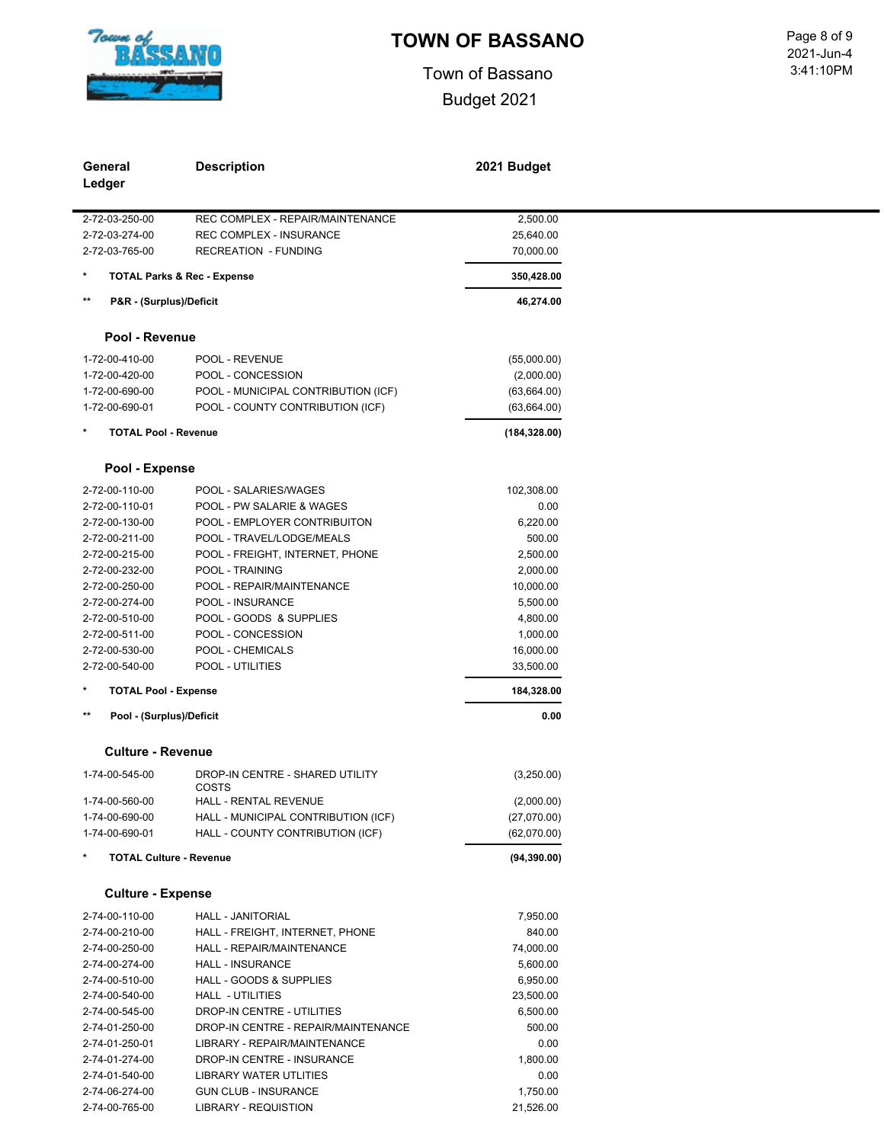

Town of Bassano Budget 2021

 3:41:10PM Page 8 of 9<br>2021-Jun-4

| Ledger          | General                        | <b>Description</b>                       | 2021 Budget             |
|-----------------|--------------------------------|------------------------------------------|-------------------------|
|                 | 2-72-03-250-00                 | REC COMPLEX - REPAIR/MAINTENANCE         | 2,500.00                |
|                 | 2-72-03-274-00                 | <b>REC COMPLEX - INSURANCE</b>           | 25,640.00               |
|                 | 2-72-03-765-00                 | <b>RECREATION - FUNDING</b>              | 70,000.00               |
| $\ast$          |                                | <b>TOTAL Parks &amp; Rec - Expense</b>   | 350,428.00              |
| $**$            | P&R - (Surplus)/Deficit        |                                          | 46,274.00               |
|                 | Pool - Revenue                 |                                          |                         |
|                 | 1-72-00-410-00                 | POOL - REVENUE                           | (55,000.00)             |
|                 | 1-72-00-420-00                 | POOL - CONCESSION                        | (2,000.00)              |
|                 | 1-72-00-690-00                 | POOL - MUNICIPAL CONTRIBUTION (ICF)      | (63, 664.00)            |
|                 | 1-72-00-690-01                 | POOL - COUNTY CONTRIBUTION (ICF)         | (63, 664.00)            |
| $\ast$          | <b>TOTAL Pool - Revenue</b>    |                                          | (184, 328.00)           |
|                 | Pool - Expense                 |                                          |                         |
|                 | 2-72-00-110-00                 | POOL - SALARIES/WAGES                    | 102,308.00              |
|                 | 2-72-00-110-01                 | POOL - PW SALARIE & WAGES                | 0.00                    |
|                 | 2-72-00-130-00                 | POOL - EMPLOYER CONTRIBUITON             | 6,220.00                |
|                 | 2-72-00-211-00                 | POOL - TRAVEL/LODGE/MEALS                | 500.00                  |
|                 | 2-72-00-215-00                 | POOL - FREIGHT, INTERNET, PHONE          | 2,500.00                |
|                 | 2-72-00-232-00                 | POOL - TRAINING                          | 2,000.00                |
|                 | 2-72-00-250-00                 | POOL - REPAIR/MAINTENANCE                | 10,000.00               |
|                 | 2-72-00-274-00                 | POOL - INSURANCE                         | 5,500.00                |
|                 | 2-72-00-510-00                 | POOL - GOODS & SUPPLIES                  | 4,800.00                |
|                 | 2-72-00-511-00                 | POOL - CONCESSION                        |                         |
|                 | 2-72-00-530-00                 | POOL - CHEMICALS                         | 1,000.00                |
|                 |                                |                                          | 16,000.00               |
| $\ast$          | 2-72-00-540-00                 | POOL - UTILITIES                         | 33,500.00<br>184,328.00 |
| $^{\star\star}$ | <b>TOTAL Pool - Expense</b>    |                                          |                         |
|                 | Pool - (Surplus)/Deficit       |                                          | 0.00                    |
|                 | <b>Culture - Revenue</b>       |                                          |                         |
|                 | 1-74-00-545-00                 | DROP-IN CENTRE - SHARED UTILITY<br>COSTS | (3,250.00)              |
|                 | 1-74-00-560-00                 | HALL - RENTAL REVENUE                    | (2,000.00)              |
|                 | 1-74-00-690-00                 | HALL - MUNICIPAL CONTRIBUTION (ICF)      | (27,070.00)             |
|                 | 1-74-00-690-01                 | HALL - COUNTY CONTRIBUTION (ICF)         | (62,070.00)             |
|                 | <b>TOTAL Culture - Revenue</b> |                                          | (94, 390.00)            |
|                 |                                |                                          |                         |
|                 | <b>Culture - Expense</b>       |                                          |                         |
|                 | 2-74-00-110-00                 | HALL - JANITORIAL                        | 7,950.00                |
|                 | 2-74-00-210-00                 | HALL - FREIGHT, INTERNET, PHONE          | 840.00                  |
|                 | 2-74-00-250-00                 | HALL - REPAIR/MAINTENANCE                | 74,000.00               |
|                 | 2-74-00-274-00                 | <b>HALL - INSURANCE</b>                  | 5,600.00                |
|                 | 2-74-00-510-00                 | HALL - GOODS & SUPPLIES                  | 6,950.00                |
|                 | 2-74-00-540-00                 | HALL - UTILITIES                         | 23,500.00               |
|                 | 2-74-00-545-00                 | DROP-IN CENTRE - UTILITIES               | 6,500.00                |
|                 | 2-74-01-250-00                 | DROP-IN CENTRE - REPAIR/MAINTENANCE      | 500.00                  |
|                 | 2-74-01-250-01                 | LIBRARY - REPAIR/MAINTENANCE             | 0.00                    |
|                 | 2-74-01-274-00                 | DROP-IN CENTRE - INSURANCE               | 1,800.00                |
|                 | 2-74-01-540-00                 | <b>LIBRARY WATER UTLITIES</b>            | 0.00                    |
|                 | 2-74-06-274-00                 | <b>GUN CLUB - INSURANCE</b>              | 1,750.00                |

2-74-00-765-00 LIBRARY - REQUISTION 21,526.00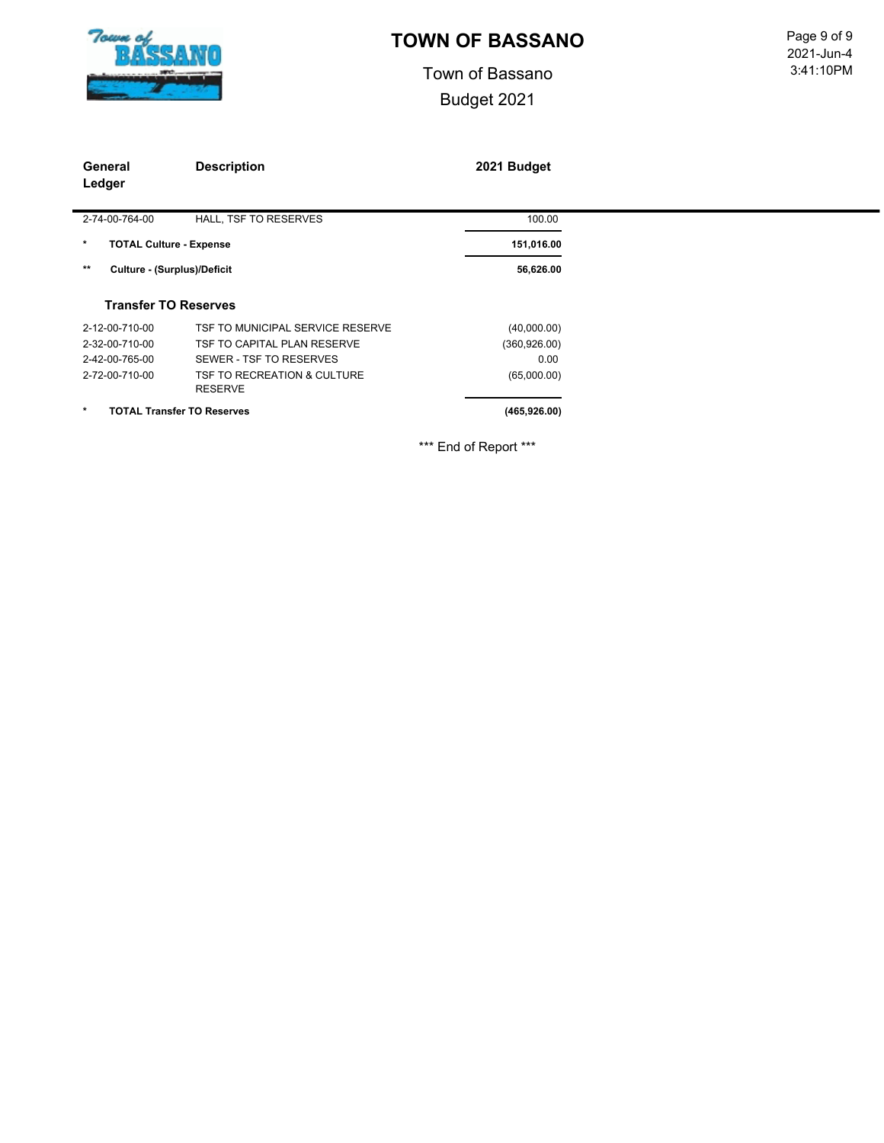

Town of Bassano Budget 2021

 3:41:10PM Page 9 of 9<br>2021-Jun-4

| General<br>Ledger                         | <b>Description</b>                            | 2021 Budget   |
|-------------------------------------------|-----------------------------------------------|---------------|
| 2-74-00-764-00                            | HALL, TSF TO RESERVES                         | 100.00        |
| $\star$<br><b>TOTAL Culture - Expense</b> |                                               | 151,016.00    |
| **<br>Culture - (Surplus)/Deficit         |                                               | 56,626.00     |
| <b>Transfer TO Reserves</b>               |                                               |               |
| 2-12-00-710-00                            | TSF TO MUNICIPAL SERVICE RESERVE              | (40,000.00)   |
| 2-32-00-710-00                            | TSF TO CAPITAL PLAN RESERVE                   | (360, 926.00) |
| 2-42-00-765-00                            | SEWER - TSF TO RESERVES                       | 0.00          |
| 2-72-00-710-00                            | TSF TO RECREATION & CULTURE<br><b>RESERVE</b> | (65,000.00)   |
| $\star$                                   | <b>TOTAL Transfer TO Reserves</b>             | (465, 926.00) |
|                                           |                                               |               |

\*\*\* End of Report \*\*\*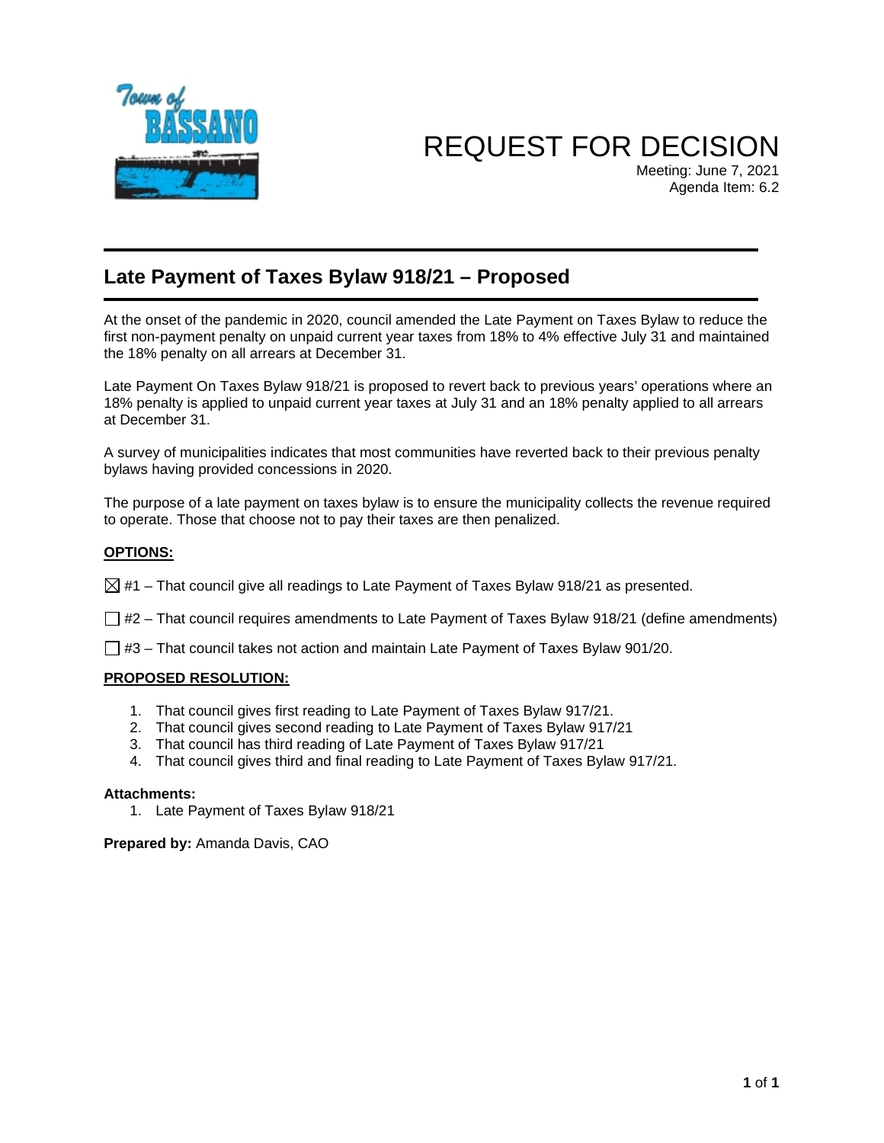

# REQUEST FOR DECISION

Meeting: June 7, 2021 Agenda Item: 6.2

### **Late Payment of Taxes Bylaw 918/21 – Proposed**

At the onset of the pandemic in 2020, council amended the Late Payment on Taxes Bylaw to reduce the first non-payment penalty on unpaid current year taxes from 18% to 4% effective July 31 and maintained the 18% penalty on all arrears at December 31.

Late Payment On Taxes Bylaw 918/21 is proposed to revert back to previous years' operations where an 18% penalty is applied to unpaid current year taxes at July 31 and an 18% penalty applied to all arrears at December 31.

A survey of municipalities indicates that most communities have reverted back to their previous penalty bylaws having provided concessions in 2020.

The purpose of a late payment on taxes bylaw is to ensure the municipality collects the revenue required to operate. Those that choose not to pay their taxes are then penalized.

### **OPTIONS:**

 $\boxtimes$  #1 – That council give all readings to Late Payment of Taxes Bylaw 918/21 as presented.

 $\Box$  #2 – That council requires amendments to Late Payment of Taxes Bylaw 918/21 (define amendments)

 $\Box$  #3 – That council takes not action and maintain Late Payment of Taxes Bylaw 901/20.

### **PROPOSED RESOLUTION:**

- 1. That council gives first reading to Late Payment of Taxes Bylaw 917/21.
- 2. That council gives second reading to Late Payment of Taxes Bylaw 917/21
- 3. That council has third reading of Late Payment of Taxes Bylaw 917/21
- 4. That council gives third and final reading to Late Payment of Taxes Bylaw 917/21.

#### **Attachments:**

1. Late Payment of Taxes Bylaw 918/21

**Prepared by:** Amanda Davis, CAO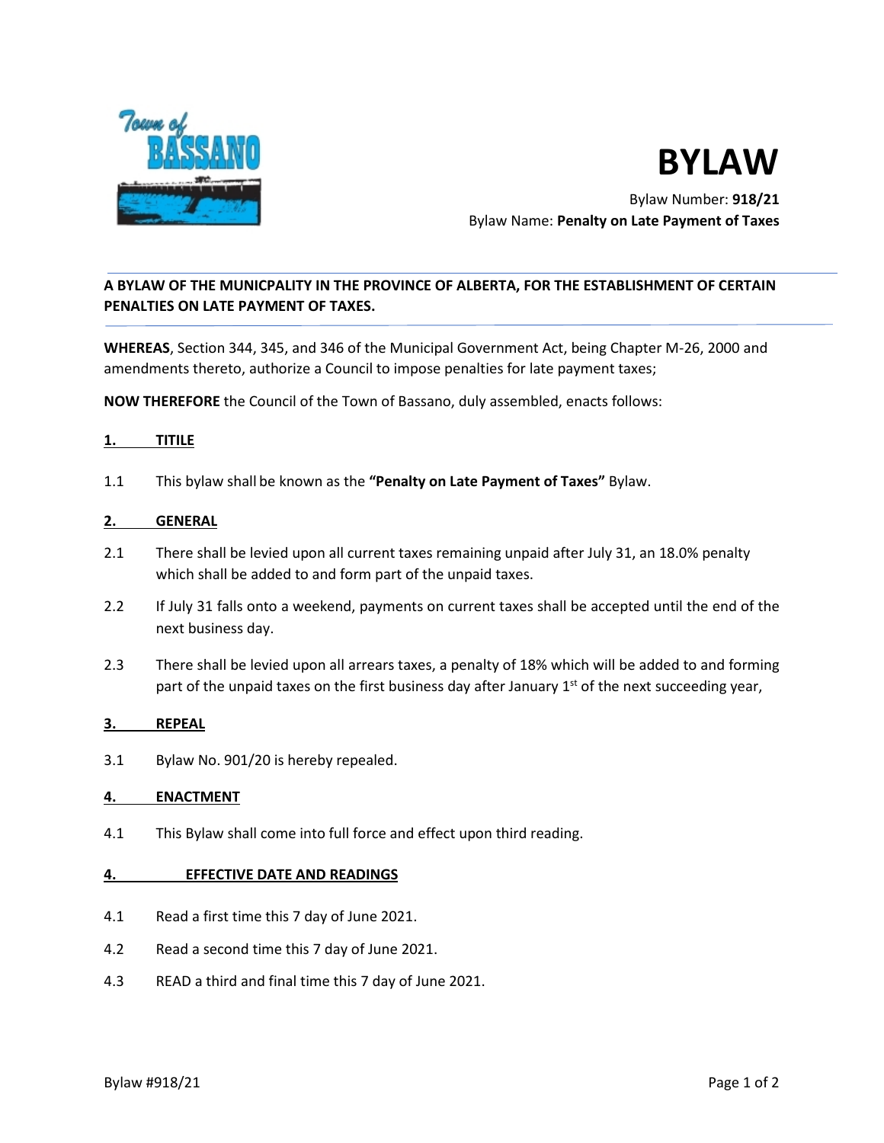

# **BYLAW**

Bylaw Number: **918/21**  Bylaw Name: **Penalty on Late Payment of Taxes**

### **A BYLAW OF THE MUNICPALITY IN THE PROVINCE OF ALBERTA, FOR THE ESTABLISHMENT OF CERTAIN PENALTIES ON LATE PAYMENT OF TAXES.**

**WHEREAS**, Section 344, 345, and 346 of the Municipal Government Act, being Chapter M-26, 2000 and amendments thereto, authorize a Council to impose penalties for late payment taxes;

**NOW THEREFORE** the Council of the Town of Bassano, duly assembled, enacts follows:

### **1. TITILE**

1.1 This bylaw shall be known as the **"Penalty on Late Payment of Taxes"** Bylaw.

### **2. GENERAL**

- 2.1 There shall be levied upon all current taxes remaining unpaid after July 31, an 18.0% penalty which shall be added to and form part of the unpaid taxes.
- 2.2 If July 31 falls onto a weekend, payments on current taxes shall be accepted until the end of the next business day.
- 2.3 There shall be levied upon all arrears taxes, a penalty of 18% which will be added to and forming part of the unpaid taxes on the first business day after January  $1<sup>st</sup>$  of the next succeeding year,

### **3. REPEAL**

3.1 Bylaw No. 901/20 is hereby repealed.

### **4. ENACTMENT**

4.1 This Bylaw shall come into full force and effect upon third reading.

#### **4. EFFECTIVE DATE AND READINGS**

- 4.1 Read a first time this 7 day of June 2021.
- 4.2 Read a second time this 7 day of June 2021.
- 4.3 READ a third and final time this 7 day of June 2021.